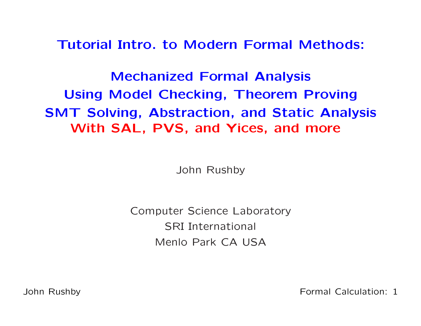Tutorial Intro. to Modern Formal Methods:

Mechanized Formal AnalysisUsing Model Checking, Theorem Proving SMT Solving, Abstraction, and Static AnalysisWith SAL, PVS, and Yices, and more

John Rushby

Computer Science LaboratorySRI International Menlo Park CA USA

John Rushby

Formal Calculation: <sup>1</sup>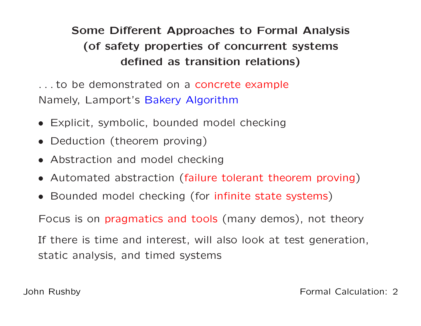# Some Different Approaches to Formal Analysis(of safety properties of concurrent systemsdefined as transition relations)

. . . to be demonstrated on <sup>a</sup> concrete example Namely, Lamport's Bakery Algorithm

- Explicit, symbolic, bounded model checking
- Deduction (theorem proving)
- Abstraction and model checking
- Automated abstraction (failure tolerant theorem proving)
- Bounded model checking (for infinite state systems )

Focus is on pragmatics and tools (many demos), not theory

If there is time and interest, will also look at test generation, static analysis, and timed systems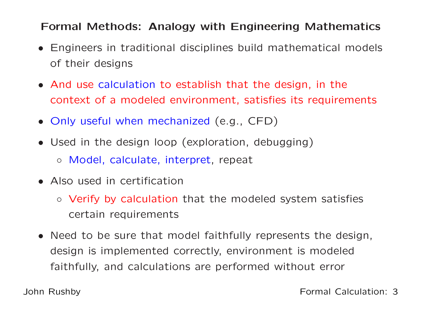## Formal Methods: Analogy with Engineering Mathematics

- Engineers in traditional disciplines build mathematical models of their designs
- And use calculation to establish that the design, in the context of <sup>a</sup> modeled environment, satisfies its requirements
- Only useful when mechanized (e.g., CFD)
- Used in the design loop (exploration, debugging)
	- Model, calculate, interpret, repeat
- Also used in certification
	- Verify by calculation that the modeled system satisfies certain requirements
- Need to be sure that model faithfully represents the design, design is implemented correctly, environment is modeledfaithfully, and calculations are performed without error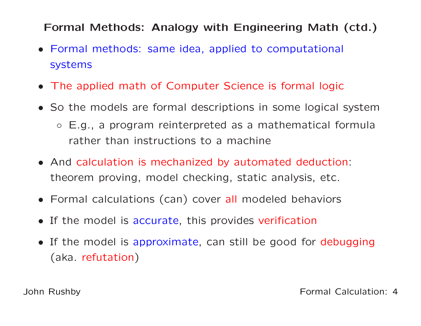## Formal Methods: Analogy with Engineering Math (ctd.)

- Formal methods: same idea, applied to computational systems
- The applied math of Computer Science is formal logic
- So the models are formal descriptions in some logical system
	- E.g., <sup>a</sup> program reinterpreted as <sup>a</sup> mathematical formularather than instructions to <sup>a</sup> machine
- And calculation is mechanized by automated deduction: theorem proving, model checking, static analysis, etc.
- Formal calculations (can) cover all modeled behaviors
- If the model is accurate, this provides verification
- If the model is approximate, can still be good for debugging(aka. refutation)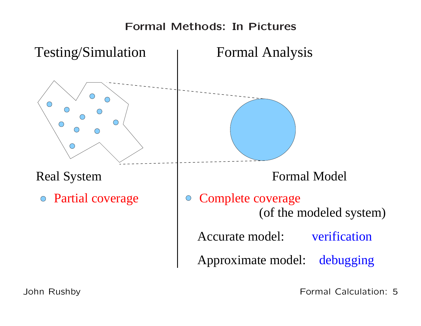## Formal Methods: In Pictures

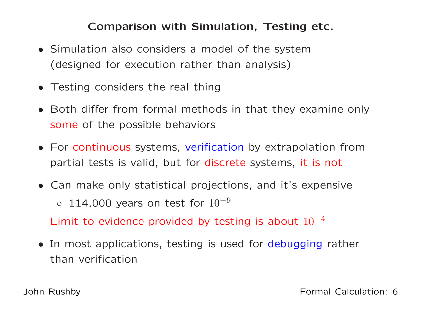#### Comparison with Simulation, Testing etc.

- Simulation also considers <sup>a</sup> model of the system(designed for execution rather than analysis)
- Testing considers the real thing
- Both differ from formal methods in that they examine onlysome of the possible behaviors
- For continuous systems, verification by extrapolation frompartial tests is valid, but for discrete systems, it is not
- Can make only statistical projections, and it's expensive $\circ$  114,000 years on test for  $10^{-9}$ Limit to evidence provided by testing is about  $10^{{\rm -}4}$
- In most applications, testing is used for debugging rather than verification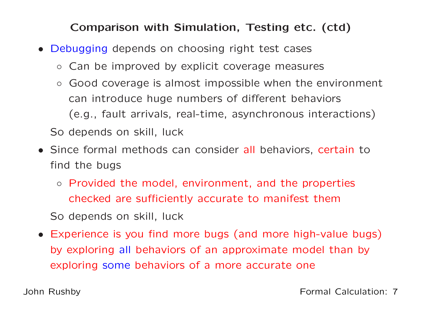## Comparison with Simulation, Testing etc. (ctd)

- Debugging depends on choosing right test cases
	- Can be improved by explicit coverage measures
	- $\circ$  Good coverage is almost impossible when the environment can introduce huge numbers of different behaviors(e.g., fault arrivals, real-time, asynchronous interactions)So depends on skill, luck
- Since formal methods can consider all behaviors, certain to find the bugs
	- Provided the model, environment, and the properties checked are sufficiently accurate to manifest them

So depends on skill, luck

• Experience is you find more bugs (and more high-value bugs) by exploring all behaviors of an approximate model than by exploring some behaviors of <sup>a</sup> more accurate one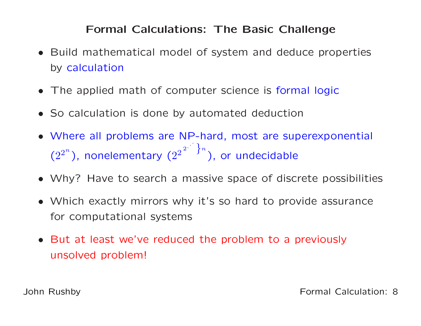## Formal Calculations: The Basic Challenge

- Build mathematical model of system and deduce properties by calculation
- The applied math of computer science is formal logic
- So calculation is done by automated deduction
- Where all problems are NP-hard, most are superexponential  $(2^2$  $^{n}$ ), nonelementary ( $2^{\mathrm{2}}$ 2.  $\begin{bmatrix} 1 & 1 \\ 1 & 1 \end{bmatrix}$  $\pmb{n}$ ), or undecidable
- Why? Have to search <sup>a</sup> massive space of discrete possibilities
- Which exactly mirrors why it's so hard to provide assurancefor computational systems
- But at least we've reduced the problem to <sup>a</sup> previouslyunsolved problem!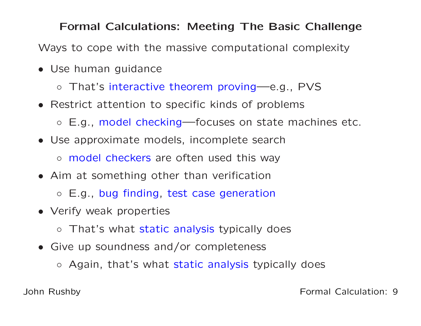#### Formal Calculations: Meeting The Basic Challenge

Ways to cope with the massive computational complexity

- Use human guidance
	- That's interactive theorem proving—e.g., PVS
- Restrict attention to specific kinds of problems
	- E.g., model checking—focuses on state machines etc.
- Use approximate models, incomplete search◦ model checkers are often used this way
- Aim at something other than verification
	- E.g., bug finding, test case generation
- Verify weak properties
	- That's what static analysis typically does
- Give up soundness and/or completeness
	- Again, that's what static analysis typically does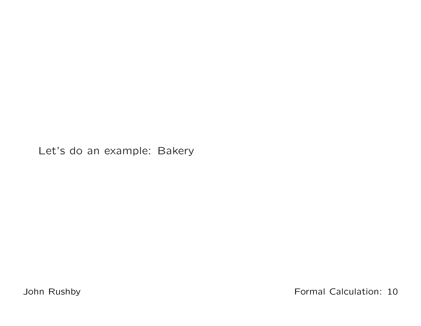Let's do an example: Bakery

John Rushby

Formal Calculation: <sup>10</sup>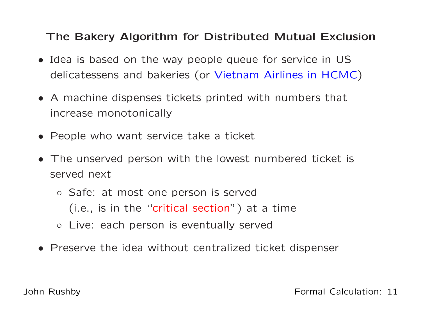## The Bakery Algorithm for Distributed Mutual Exclusion

- Idea is based on the way people queue for service in USdelicatessens and bakeries (or Vietnam Airlines in HCMC)
- <sup>A</sup> machine dispenses tickets printed with numbers that increase monotonically
- People who want service take <sup>a</sup> ticket
- The unserved person with the lowest numbered ticket is served next
	- Safe: at most one person is served(i.e., is in the "critical section") at <sup>a</sup> time
	- Live: each person is eventually served
- Preserve the idea without centralized ticket dispenser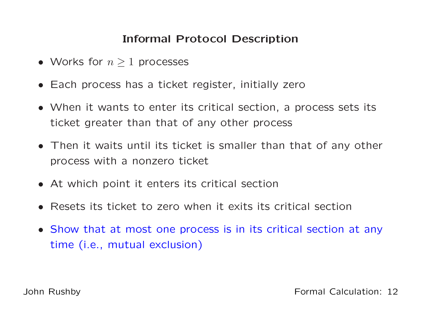## Informal Protocol Description

- Works for  $n \geq 1$  processes
- Each process has <sup>a</sup> ticket register, initially zero
- When it wants to enter its critical section, <sup>a</sup> process sets its ticket greater than that of any other process
- Then it waits until its ticket is smaller than that of any other process with <sup>a</sup> nonzero ticket
- At which point it enters its critical section
- Resets its ticket to zero when it exits its critical section
- Show that at most one process is in its critical section at anytime (i.e., mutual exclusion)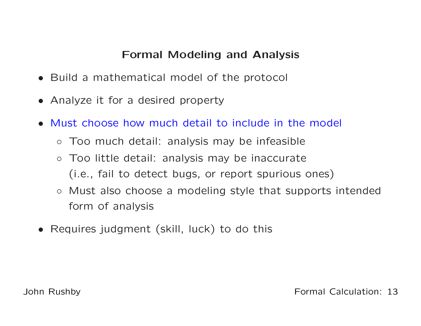## Formal Modeling and Analysis

- Build <sup>a</sup> mathematical model of the protocol
- Analyze it for <sup>a</sup> desired property
- Must choose how much detail to include in the model
	- Too much detail: analysis may be infeasible
	- Too little detail: analysis may be inaccurate(i.e., fail to detect bugs, or report spurious ones)
	- Must also choose <sup>a</sup> modeling style that supports intendedform of analysis
- Requires judgment (skill, luck) to do this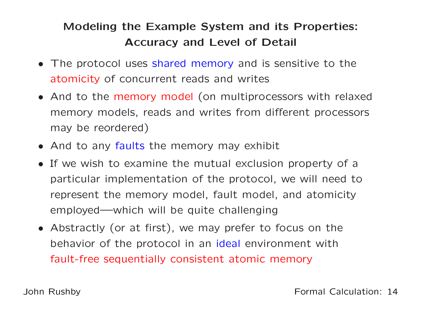## Modeling the Example System and its Properties: Accuracy and Level of Detail

- The protocol uses shared memory and is sensitive to the atomicity of concurrent reads and writes
- And to the memory model (on multiprocessors with relaxed memory models, reads and writes from different processorsmay be reordered)
- And to any faults the memory may exhibit
- If we wish to examine the mutual exclusion property of <sup>a</sup>particular implementation of the protocol, we will need torepresent the memory model, fault model, and atomicityemployed—which will be quite challenging
- Abstractly (or at first), we may prefer to focus on thebehavior of the protocol in an i<mark>deal</mark> environment with fault-free sequentially consistent atomic memory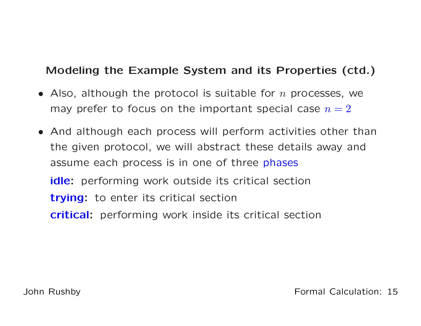## Modeling the Example System and its Properties (ctd.)

- Also, although the protocol is suitable for  $n$  processes, we may prefer to focus on the important special case  $n = 2$
- And although each process will perform activities other thanthe given protocol, we will abstract these details away andassume each process is in one of three <mark>phases</mark> idle: performing work outside its critical section trying: to enter its critical sectioncritical: performing work inside its critical section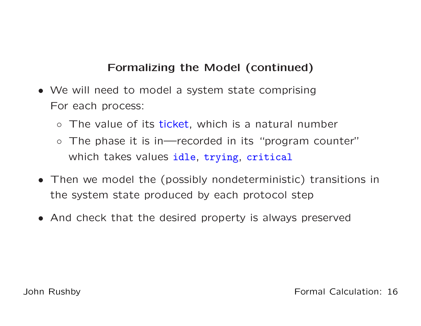## Formalizing the Model (continued)

- We will need to model <sup>a</sup> system state comprisingFor each process:
	- The value of its ticket, which is <sup>a</sup> natural number
	- The phase it is in—recorded in its "program counter"which takes values idle, trying, critical
- Then we model the (possibly nondeterministic) transitions <sup>i</sup> nthe system state produced by each protocol step
- And check that the desired property is always preserved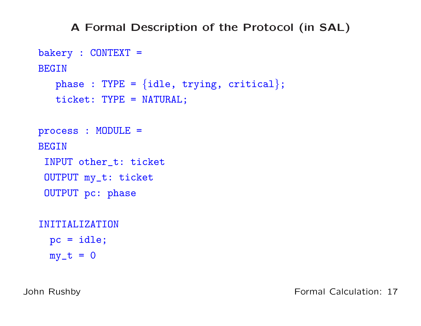#### <sup>A</sup> Formal Description of the Protocol (in SAL)

```
bakery : CONTEXT =
BEGIN{\tt phase\ :\ TYPE\ =\ \{idle,\ trying,\ critical\}};ticket: TYPE = NATURAL;
process : MODULE =
BEGININPUT other_t: ticket
 OUTPUT my_t: ticket
 OUTPUT pc: phase
INITIALIZATIONpc = idle;
```
 $my_t = 0$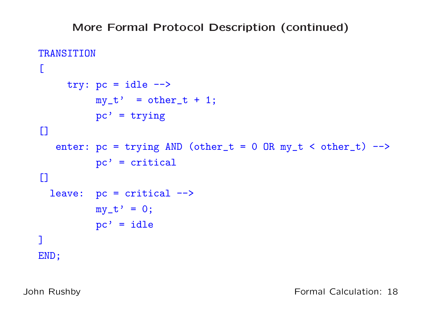#### More Formal Protocol Description (continued)

```
TRANSITION\Gammatry: pc = idle -->
          my_t' = other_t + 1;pc' = trying[]enter: pc = trying AND (other_t = 0 OR my_t < other_t) \rightarrowpc' = critical
\Boxleave: pc = critical -->
          my_t' = 0;pc' = idle]END;
```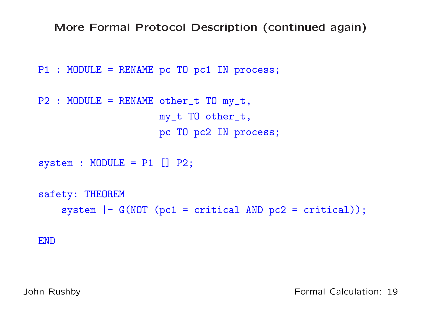More Formal Protocol Description (continued again)

```
P1 : MODULE = RENAME pc TO pc1 IN process;
```

```
P2 : MODULE = RENAME other_t TO my_t,
                     my_t TO other_t,
                     pc TO pc2 IN process;
```

```
system : MODULE = P1 [] P2;
```

```
safety: THEOREM
    system |- G(NOT (pc1 = critical AND pc2 = critical));
```
END

John Rushby

Formal Calculation: <sup>19</sup>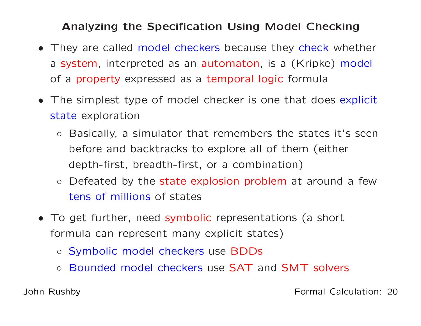#### Analyzing the Specification Using Model Checking

- They are called model checkers because they check whether a system, interpreted as an automaton, is <sup>a</sup> (Kripke) model of <sup>a</sup> property expressed as <sup>a</sup> temporal logic formula
- The simplest type of model checker is one that does explicit state exploration
	- Basically, <sup>a</sup> simulator that remembers the states it's seenbefore and backtracks to explore all of them (eitherdepth-first, breadth-first, or <sup>a</sup> combination)
	- Defeated by the state explosion problem at around <sup>a</sup> few tens of millions of states
- To get further, need symbolic representations (a short formula can represent many explicit states)
	- Symbolic model checkers use BDDs
	- Bounded model checkers use SAT and SMT solvers

John Rushby

Formal Calculation: <sup>20</sup>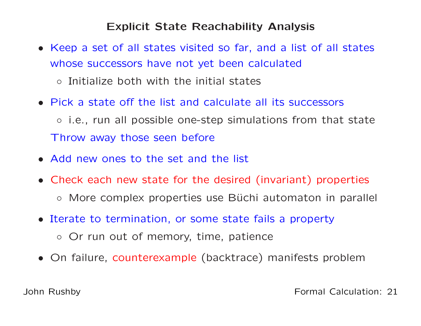#### Explicit State Reachability Analysis

- Keep <sup>a</sup> set of all states visited so far, and <sup>a</sup> list of all states whose successors have not yet been calculated◦ Initialize both with the initial states
- Pick <sup>a</sup> state off the list and calculate all its successors ◦ i.e., run all possible one-step simulations from that stateThrow away those seen before
- Add new ones to the set and the list
- Check each new state for the desired (invariant) properties
	- More complex properties use Büchi automaton in parallel
- Iterate to termination, or some state fails <sup>a</sup> property
	- Or run out of memory, time, patience
- On failure, counterexample (backtrace) manifests problem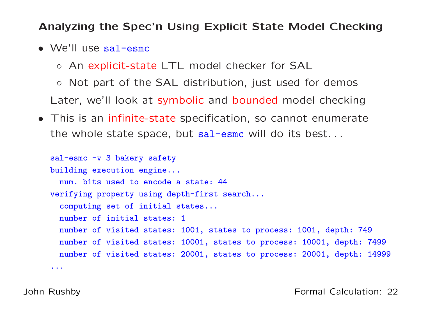#### Analyzing the Spec'n Using Explicit State Model Checking

- We'll use sal-esmc
	- An explicit-state LTL model checker for SAL

◦ Not part of the SAL distribution, just used for demos Later, we'll look at symbolic and bounded model checking

• This is an infinite-state specification, so cannot enumerate the whole state space, but sal-esmc will do its best...

```
sal-esmc -v 3 bakery safety
building execution engine...
 num. bits used to encode a state: 44
verifying property using depth-first search...
  computing set of initial states...
  number of initial states: 1
  number of visited states: 1001, states to process: 1001, depth: 749
  number of visited states: 10001, states to process: 10001, depth: 7499
  number of visited states: 20001, states to process: 20001, depth: 14999
...
```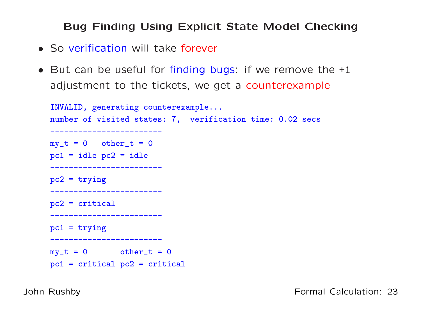#### Bug Finding Using Explicit State Model Checking

- So verification will take forever
- But can be useful for finding bugs: if we remove the +1 adjustment to the tickets, we get a counterexample

```
INVALID, generating counterexample...
number of visited states: 7, verification time: 0.02 secs ------------------------my_t = 0 other<sub>_t</sub> = 0
pc1 = idle pc2 = idle------------------------pc2 = trying------------------------pc2 = critical ------------------------pc1 = trying------------------------my_t = 0 other<sub>_t</sub> = 0
pc1 = critical pc2 = critical
```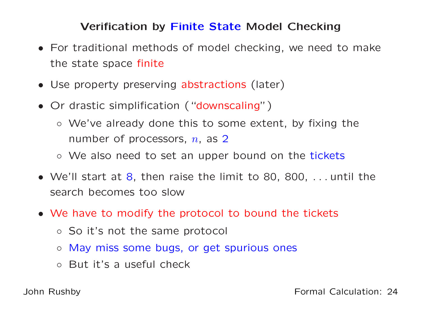# Verification by Fi<mark>nite State</mark> Model Checking

- For traditional methods of model checking, we need to makethe state space finite
- Use property preserving abstractions (later)
- Or drastic simplification ("downscaling")
	- We've already done this to some extent, by fixing thenumber of processors,  $n$ , as 2
	- We also need to set an upper bound on the tickets
- We'll start at 8, then raise the limit to 80, 800, . . . until thesearch becomes too slow
- We have to modify the protocol to bound the tickets
	- So it's not the same protocol
	- May miss some bugs, or get spurious ones
	- But it's <sup>a</sup> useful check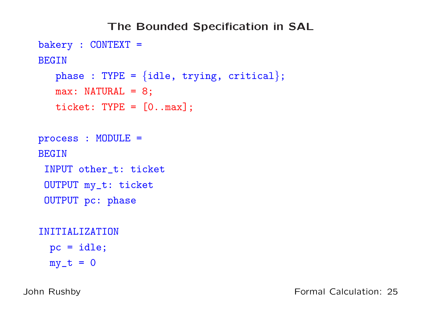```
The Bounded Specification in SALbakery : CONTEXT =
BEGIN{\tt phase\ :\ TYPE\ =\ \{idle,\ trying,\ critical\}};max: NATURAL = 8;
   ticket: TYPE = [0..max];
process : MODULE =
BEGININPUT other_t: ticket
 OUTPUT my_t: ticket
 OUTPUT pc: phase
INITIALIZATIONpc = idle;
```
 $my_t = 0$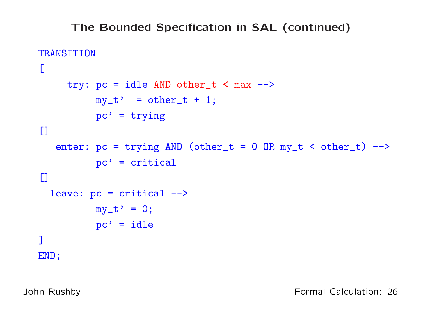## The Bounded Specification in SAL (continued)

```
TRANSITION\Gammatry: pc = idle AND other_t < max -->my_t' = other_t + 1;pc' = trying[]enter: pc = trying AND (other_t = 0 OR my_t < other_t) \rightarrowpc' = critical
\Boxleave: pc = critical -->
          my_t' = 0;pc' = idle]END;
```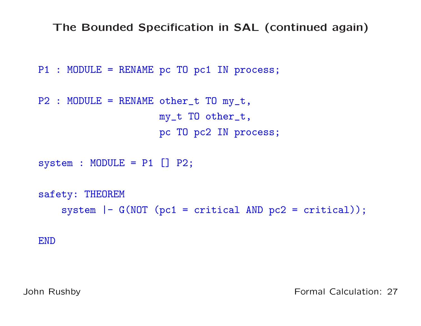The Bounded Specification in SAL (continued again)

```
P1 : MODULE = RENAME pc TO pc1 IN process;
```

```
P2 : MODULE = RENAME other_t TO my_t,
                     my_t TO other_t,
                     pc TO pc2 IN process;
```

```
system : MODULE = P1 [] P2;
```

```
safety: THEOREM
    system |- G(NOT (pc1 = critical AND pc2 = critical));
```
END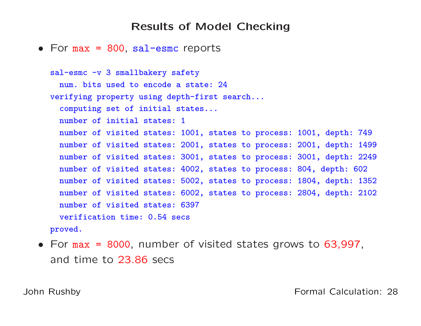#### Results of Model Checking

# • For max <sup>=</sup> <sup>800</sup>, sal-esmc reports

```
sal-esmc -v 3 smallbakery safety
  num. bits used to encode a state: 24
verifying property using depth-first search...
  computing set of initial states...
  number of initial states: 1
  number of visited states: 1001, states to process: 1001, depth: 749
  number of visited states: 2001, states to process: 2001, depth: 1499
  number of visited states: 3001, states to process: 3001, depth: 2249
  number of visited states: 4002, states to process: 804, depth: 602
  number of visited states: 5002, states to process: 1804, depth: 1352
  number of visited states: 6002, states to process: 2804, depth: 2102
  number of visited states: 6397
  verification time: 0.54 secs
proved.
```
• For max <sup>=</sup> <sup>8000</sup>, number of visited states grows to 63,997, and time to 23.86 secs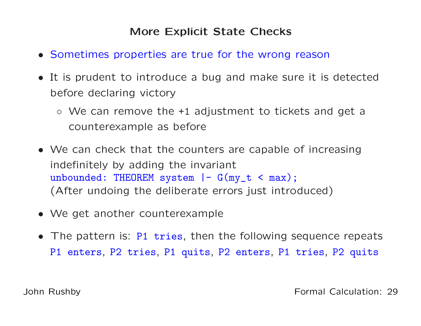## More Explicit State Checks

- Sometimes properties are true for the wrong reason
- It is prudent to introduce <sup>a</sup> bug and make sure it is detectedbefore declaring victory
	- We can remove the +1 adjustment to tickets and get <sup>a</sup>counterexample as before
- We can check that the counters are capable of increasingindefinitely by adding the invariant unbounded: THEOREM system |- G(my\_t <sup>&</sup>lt; max); (After undoing the deliberate errors just introduced)
- We get another counterexample
- The pattern is: P1 tries, then the following sequence repeats P1 enters, P2 tries, P1 quits, P2 enters, P1 tries, P2 quits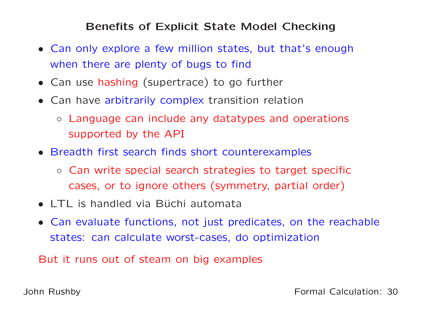#### Benefits of Explicit State Model Checking

- Can only explore <sup>a</sup> few million states, but that's enoughwhen there are plenty of bugs to find
- Can use hashing (supertrace) to go further
- Can have arbitrarily complex transition relation
	- Language can include any datatypes and operations supported by the API
- Breadth first search finds short counterexamples
	- Can write special search strategies to target specificcases, or to ignore others (symmetry, partial order)
- LTL is handled via Büchi automata
- Can evaluate functions, not just predicates, on the reachablestates: can calculate worst-cases, do optimization

But it runs out of steam on big examples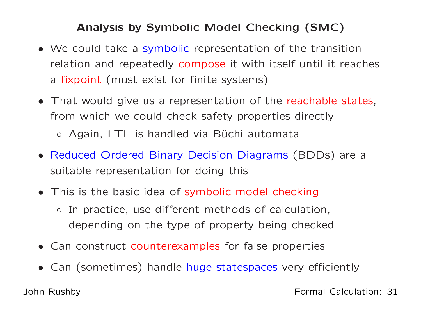## Analysis by Symbolic Model Checking (SMC)

- We could take <sup>a</sup> symbolic representation of the transitionrelation and repeatedly compose it with itself until it reaches a fixpoint (must exist for finite systems)
- That would give us <sup>a</sup> representation of the reachable states, from which we could check safety properties directly
	- Again, LTL is handled via Büchi automata
- Reduced Ordered Binary Decision Diagrams (BDDs) are <sup>a</sup>suitable representation for doing this
- This is the basic idea of symbolic model checking
	- In practice, use different methods of calculation, depending on the type of property being checked
- Can construct counterexamples for false properties
- Can (sometimes) handle huge statespaces very efficiently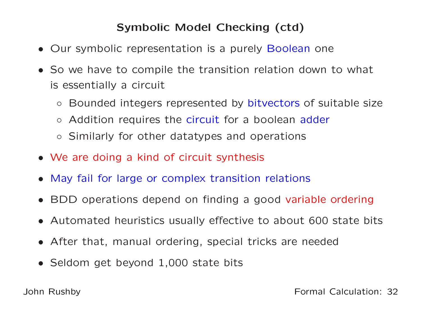## Symbolic Model Checking (ctd)

- Our symbolic representation is <sup>a</sup> purely Boolean one
- So we have to compile the transition relation down to what is essentially <sup>a</sup> circuit
	- $\circ$ o Bounded integers represented by bitvectors of suitable size
	- $\circ$ o Addition requires the circuit for a boolean adder
	- Similarly for other datatypes and operations
- We are doing <sup>a</sup> kind of circuit synthesis
- May fail for large or complex transition relations
- BDD operations depend on finding <sup>a</sup> good variable ordering
- Automated heuristics usually effective to about <sup>600</sup> state bits
- After that, manual ordering, special tricks are needed
- Seldom get beyond 1,000 state bits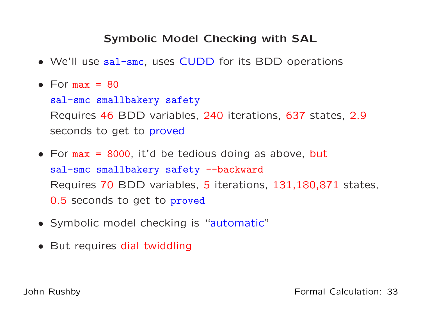## Symbolic Model Checking with SAL

- We'll use sal-smc, uses CUDD for its BDD operations
- For  $max = 80$

sal-smc smallbakery safety Requires <sup>46</sup> BDD variables, <sup>240</sup> iterations, <sup>637</sup> states, 2.9 seconds to get to <mark>proved</mark>

- For max <sup>=</sup> <sup>8000</sup>, it'd be tedious doing as above, but sal-smc smallbakery safety --backward Requires <sup>70</sup> BDD variables, 5 iterations, 131,180,871 states, 0.5 seconds to get to proved
- Symbolic model checking is "automatic"
- But requires dial twiddling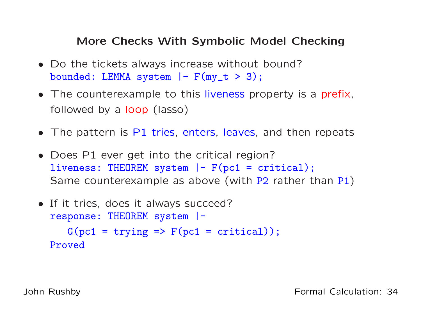## More Checks With Symbolic Model Checking

- Do the tickets always increase without bound?bounded: LEMMA system  $|-$  F(my\_t > 3);
- The counterexample to this liveness property is a prefix, followed by <sup>a</sup> loop (lasso)
- The pattern is P1 tries, enters, leaves, and then repeats
- Does P1 ever get into the critical region? liveness: THEOREM system |- F(pc1 = critical); Same counterexample as above (with P2 rather than P1)

```
• If it tries, does it always succeed?response: THEOREM system |-
     G(pc1 = trying \implies F(pc1 = critical));Proved
```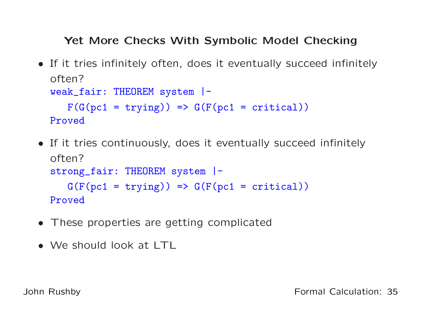## Yet More Checks With Symbolic Model Checking

- If it tries infinitely often, does it eventually succeed infinitelyoften? weak\_fair: THEOREM system |-  $F(G(pc1 = trying)) \Rightarrow G(F(pc1 = critical))$ Proved
- If it tries continuously, does it eventually succeed infinitel yoften? strong\_fair: THEOREM system |-  $G(F(pc1 = trying)) \Rightarrow G(F(pc1 = critical))$ Proved
- These properties are getting complicated
- We should look at LTL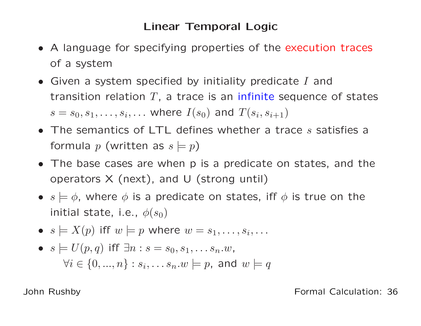## Linear Temporal Logic

- <sup>A</sup> language for specifying properties of the execution traces of <sup>a</sup> system
- Given a system specified by initiality predicate  $I$  and transition relation  $T$ , a trace is an infinite sequence of states  $s = s_0, s_1, \ldots, s_i, \ldots$  where  $I(s_0)$  and  $T(s_i, s_{i+1})$
- The semantics of LTL defines whether a trace  $s$  satisfies a formula  $p$  (written as  $s\models p$ )
- The base cases are when <sup>p</sup> is <sup>a</sup> predicate on states, and theoperators  $X$  (next), and  $U$  (strong until)
- $s \models \phi$ , where  $\phi$  is a predicate on states, iff  $\phi$  is true on the initial state, i.e.,  $\phi(s_0)$
- $s \models X(p)$  iff  $w \models p$  where  $w = s_1, \ldots, s_i, \ldots$
- $\bullet \ \ s \models U(p,q) \ \ \mathsf{iff} \ \ \exists n: s=s_0, s_1, \ldots s_n. w,$  $\forall i \in \{0, ..., n\} : s_i, \ldots s_n.w \models p$ , and  $w \models q$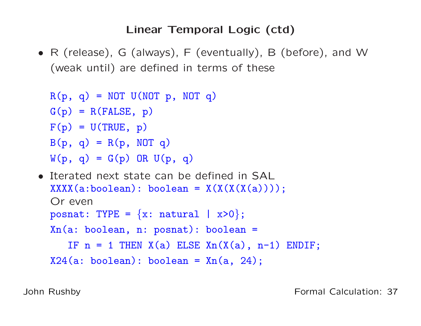# Linear Temporal Logic (ctd)

• <sup>R</sup> (release), <sup>G</sup> (always), <sup>F</sup> (eventually), <sup>B</sup> (before), and <sup>W</sup>(weak until) are defined in terms of these

```
R(p, q) = NOT U(NOT p, NOT q)G(p) = R(FALSE, p)F(p) = U(\text{TRUE}, p)B(p, q) = R(p, NOT q)W(p, q) = G(p) OR U(p, q)
```

```
• Iterated next state can be defined in SAL
   XXX(X(X(\lambda:boolean): boolean = X(X(X(X(\lambda)))));Or even\texttt{posnat:}\;\;\texttt{TYPE}\;=\;\left\{\texttt{x:}\;\;\texttt{natural}\;\;\mid\;\;\texttt{x}\texttt{>0}\right\};Xn(a: boolean, n: posnat): boolean =
       IF n = 1 THEN X(a) ELSE Xn(X(a), n-1) ENDIF;
  X24(a: boolean): boolean = Xn(a, 24);
```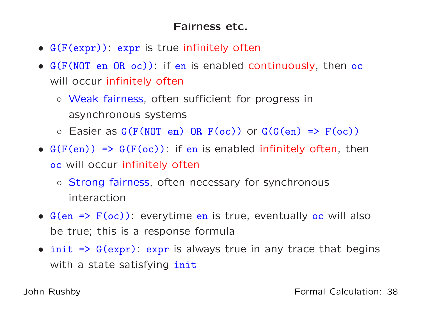# Fairness etc.

- G(F(expr)): expr is true infinitely often
- G(F(NOT en OR oc)): if en is enabled continuously, then oc will occur infinitely often
	- Weak fairness, often sufficient for progress inasynchronous systems
	- $\circ$  Easier as  $G(F(NOT \text{ en}) \text{ OR } F(\text{oc}))$  or  $G(G(\text{ en}) \Rightarrow F(\text{oc}))$
- $G(F(en)) \Rightarrow G(F(oc))$ : if en is enabled infinitely often, then oc will occur infinitely often
	- Strong fairness, often necessary for synchronous interaction
- G(en => F(oc)): everytime en is true, eventually oc will alsobe true; this is <sup>a</sup> response formula
- init => G(expr): expr is always true in any trace that begins with a state satisfying <mark>init</mark>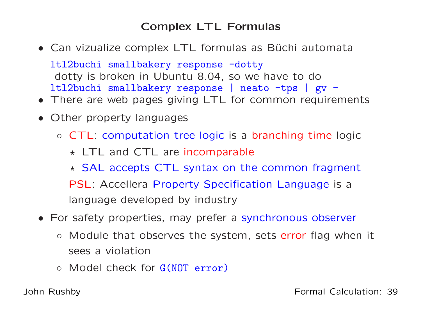# Complex LTL Formulas

• Can vizualize complex LTL formulas as Büchi automata

ltl2buchi smallbakery response -dotty dotty is broken in Ubuntu 8.04, so we have to doltl2buchi smallbakery response <sup>|</sup> neato -tps <sup>|</sup> gv -

- There are web pages giving LTL for common requirements
- Other property languages
	- CTL: computation tree logic is <sup>a</sup> branching time logic
		- $\star$  LTL and CTL are incomparable
		- $\star$  SAL accepts CTL syntax on the common fragment
		- PSL: Accellera Property Specification Language is <sup>a</sup> language developed by industry
- For safety properties, may prefer <sup>a</sup> synchronous observer
	- Module that observes the system, sets error flag when it sees <sup>a</sup> violation
	- Model check for G(NOT error)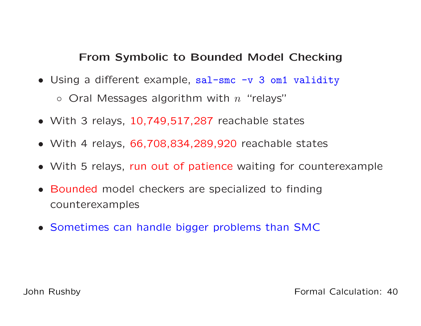## From Symbolic to Bounded Model Checking

- Using <sup>a</sup> different example, sal-smc -v <sup>3</sup> om1 validity  $\circ$  Oral Messages algorithm with  $n$  "relays"
- With <sup>3</sup> relays, 10,749,517,287 reachable states
- With <sup>4</sup> relays, 66,708,834,289,920 reachable states
- With <sup>5</sup> relays, run out of patience waiting for counterexample
- Bounded model checkers are specialized to finding counterexamples
- Sometimes can handle bigger problems than SMC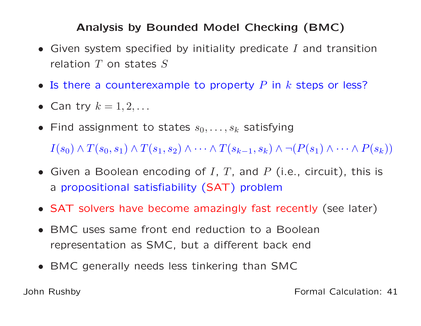# Analysis by Bounded Model Checking (BMC)

- Given system specified by initiality predicate  $I$  and transition relation  $T$  on states  $S$
- Is there a counterexample to property  $P$  in  $k$  steps or less?
- Can try  $k = 1, 2, \ldots$
- Find assignment to states  $s_0, \ldots, s_k$  satisfying  $I(s_0) \wedge T(s_0,s_1) \wedge T(s_1,s_2) \wedge \cdots \wedge T(s_{k-1},s_k) \wedge \neg (P(s_1) \wedge \cdots \wedge P(s_k))$
- Given a Boolean encoding of  $I, T$ , and  $P$  (i.e., circuit), this is a propositional satisfiability (SAT) problem
- SAT solvers have become amazingly fast recently (see later)
- BMC uses same front end reduction to <sup>a</sup> Booleanrepresentation as SMC, but <sup>a</sup> different back end
- BMC generally needs less tinkering than SMC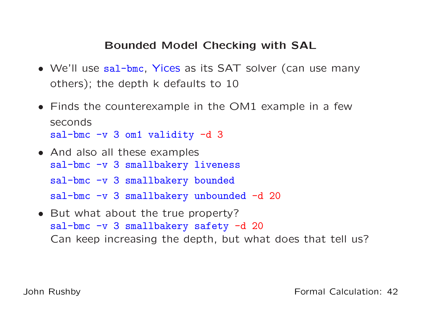## Bounded Model Checking with SAL

- We'll use sal-bmc, Yices as its SAT solver (can use many others); the depth <sup>k</sup> defaults to <sup>10</sup>
- Finds the counterexample in the OM1 example in <sup>a</sup> fewsecondssal-bmc -v <sup>3</sup> om1 validity -d <sup>3</sup>
- And also all these examples sal-bmc -v 3 smallbakery liveness sal-bmc -v 3 smallbakery bounded sal-bmc -v 3 smallbakery unbounded -d 20
- But what about the true property? sal-bmc -v <sup>3</sup> smallbakery safety -d <sup>20</sup> Can keep increasing the depth, but what does that tell us?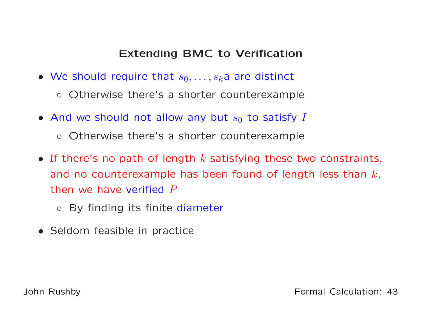# Extending BMC to Verification

- We should require that  $s_0, \ldots, s_k$ a are distinct
	- Otherwise there's <sup>a</sup> shorter counterexample
- $\bullet$  And we should not allow any but  $s_0$  to satisfy I
	- Otherwise there's <sup>a</sup> shorter counterexample
- If there's no path of length  $k$  satisfying these two constraints, and no counterexample has been found of length less than  $k$ , then we have verified  $P$ 
	- By finding its finite diameter
- Seldom feasible in practice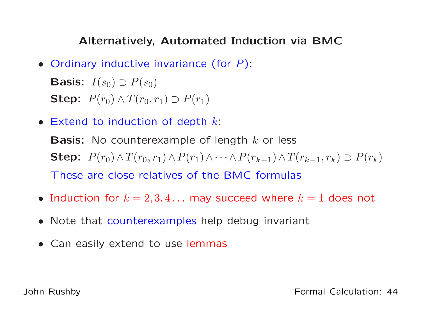## Alternatively, Automated Induction via BMC

- Ordinary inductive invariance (for  $P$ ): Basis:  $I(s_0)\supset P(s_0)$ Step:  $P(r_0) \wedge T(r_0, r_1) \supset P(r_1)$
- Extend to induction of depth  $k$ :

**Basis:** No counterexample of length  $k$  or less Step:  $P(r_0) \wedge T(r_0, r_1) \wedge P(r_1)$  $) \wedge \cdots \wedge P(r_{k-1}) \wedge T(r_{k-1}, r_k) \supset P(r_k)$ These are close relatives of the BMC formulas

- Induction for  $k = 2, 3, 4...$  may succeed where  $k = 1$  does not
- Note that counterexamples help debug invariant
- Can easily extend to use lemmas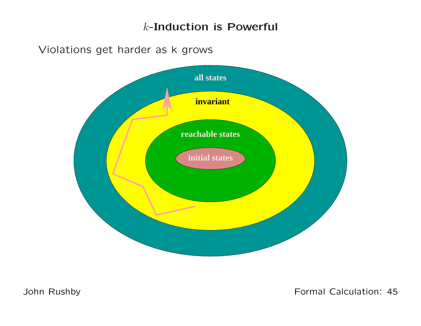### <sup>k</sup>-Induction is Powerful

Violations get harder as <sup>k</sup> grows



John Rushby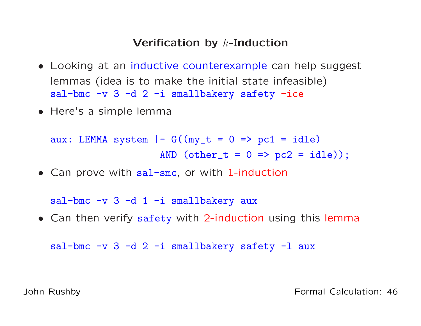# Verification by  $k$ -Induction

- Looking at an inductive counterexample can help suggest lemmas (idea is to make the initial state infeasible)sal-bmc  $-v$  3  $-d$  2  $-i$  smallbakery safety  $-ice$
- Here's <sup>a</sup> simple lemma

aux: LEMMA system  $|- G((my_t = 0 \Rightarrow pc1 = idle)$ AND  $(\text{other}_t = 0 \implies pc2 = idle)$ ;

• Can prove with sal-smc, or with 1-induction

sal-bmc  $-v$  3 -d 1 -i smallbakery aux

• Can then verify safety with 2-induction using this lemma

sal-bmc  $-v$  3 -d 2 -i smallbakery safety -l aux

John Rushby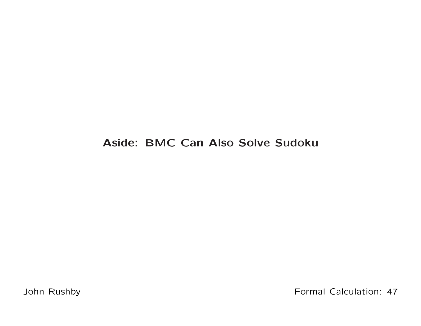## Aside: BMC Can Also Solve Sudoku

John Rushby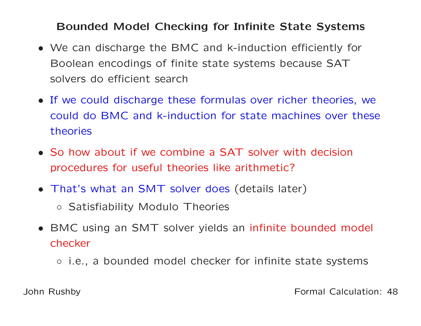## Bounded Model Checking for Infinite State Systems

- We can discharge the BMC and k-induction efficiently for Boolean encodings of finite state systems because SATsolvers do efficient search
- If we could discharge these formulas over richer theories, wecould do BMC and k-induction for state machines over thesetheories
- So how about if we combine <sup>a</sup> SAT solver with decisionprocedures for useful theories like arithmetic?
- That's what an SMT solver does (details later)
	- Satisfiability Modulo Theories
- BMC using an SMT solver yields an infinite bounded model checker
	- i.e., <sup>a</sup> bounded model checker for infinite state systems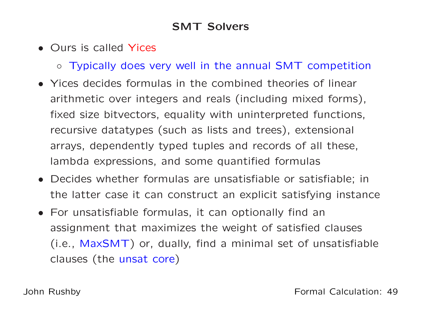# SMT Solvers

- Ours is called Yices
	- Typically does very well in the annual SMT competition
- Yices decides formulas in the combined theories of linear arithmetic over integers and reals (including mixed forms), fixed size bitvectors, equality with uninterpreted functions, recursive datatypes (such as lists and trees), extensional arrays, dependently typed tuples and records of all these, lambda expressions, and some quantified formulas
- Decides whether formulas are unsatisfiable or satisfiable; inthe latter case it can construct an explicit satisfying instance
- For unsatisfiable formulas, it can optionally find anassignment that maximizes the weight of satisfied clauses(i.e.,  $\mathsf{MaxSMT}$ ) or, dually, find a minimal set of unsatisfiable clauses (the unsat core)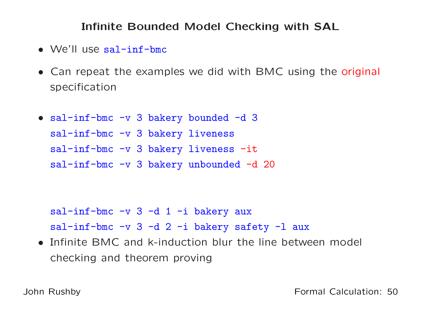# Infinite Bounded Model Checking with SAL

- We'll use sal-inf-bmc
- Can repeat the examples we did with BMC using the original specification
- sal-inf-bmc -v <sup>3</sup> bakery bounded -d <sup>3</sup> sal-inf-bmc -v 3 bakery liveness sal-inf-bmc -v 3 bakery liveness -it sal-inf-bmc -v 3 bakery unbounded -d 20

sal-inf-bmc  $-v$  3 -d 1 -i bakery aux sal-inf-bmc -v 3 -d 2 -i bakery safety -l aux

• Infinite BMC and k-induction blur the line between model checking and theorem proving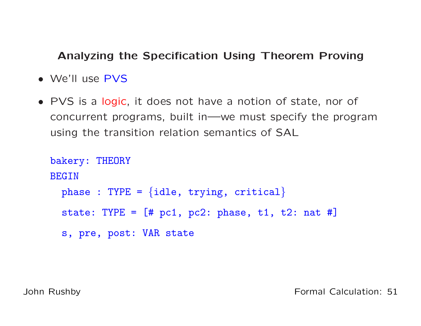### Analyzing the Specification Using Theorem Proving

- We'll use PVS
- PVS is <sup>a</sup> logic, it does not have <sup>a</sup> notion of state, nor of concurrent programs, built in—we must specify the programusing the transition relation semantics of SAL

```
bakery: THEORY
BEGIN
  {\tt phase\ :\ TYPE\ =\ \{idle,\ trying,\ critical\}}state: TYPE = [# pc1, pc2: phase, t1, t2: nat #]s, pre, post: VAR state
```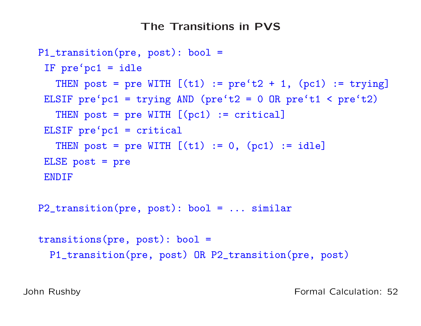## The Transitions in PVS

```
P1_transition(pre, post): bool =
 IF pre'pc1 = idle
   THEN post = pre WITH [(t1) := pre't2 + 1, (pc1) := trying]ELSIF pre'pc1 = trying AND (pre't2 = 0 OR pre't1 < pre't2)
   THEN post = pre WITH [(pc1) := critical]
 ELSIF pre'pc1 = critical
   THEN post = pre WITH [(t1) := 0, (pc1) := idle]ELSE post = pre
 ENDIFP2_transition(pre, post): bool = ... similar
transitions(pre, post): bool =
 P1_transition(pre, post) OR P2_transition(pre, post)
```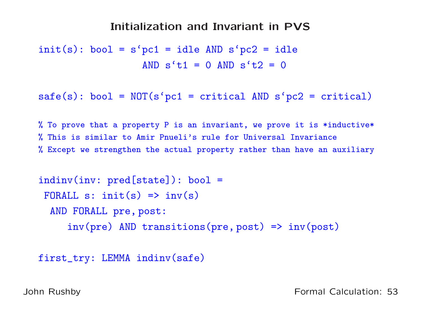#### Initialization and Invariant in PVS

 $init(s)$ : bool = s'pc1 = idle AND s'pc2 = idle AND  $s't1 = 0$  AND  $s't2 = 0$ 

```
safe(s): bool = NOT(s'pc1 = critical AND s'pc2 = critical)
```
% To prove that a property P is an invariant, we prove it is \*inductive\* % This is similar to Amir Pnueli's rule for Universal Invariance % Except we strengthen the actual property rather than have an auxiliary

```
indinv(inv: pred[state]): bool =
FORALL s: init(s) \Rightarrow inv(s)AND FORALL pre, post:
     inv(pre) AND transitions(pre, post) => inv(post)
```

```
first_try: LEMMA indinv(safe)
```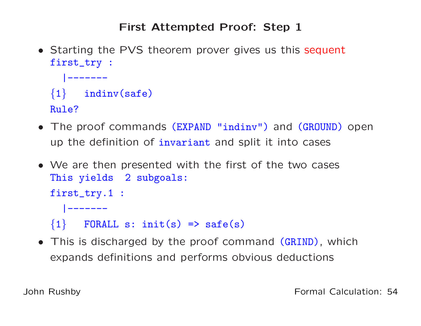# First Attempted Proof: Step <sup>1</sup>

• Starting the PVS theorem prover gives us this sequent first\_try :

```
|-------\{1\} indinv(safe)
```
- Rule?
- The proof commands (EXPAND "indinv") and (GROUND) open up the definition of i<mark>nvariant</mark> and split it into cases
- We are then presented with the first of the two cases This <sup>y</sup>ields <sup>2</sup> subgoals: first\_try.1 : |------- $\{1\}$  FORALL s: init(s) => safe(s)
- This is discharged by the proof command (GRIND), which expands definitions and performs obvious deductions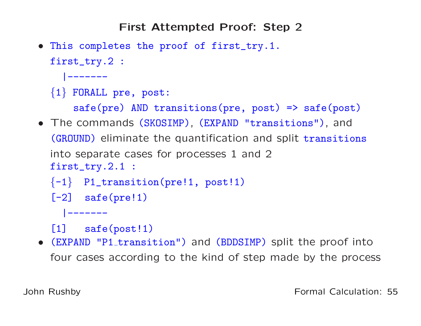First Attempted Proof: Step <sup>2</sup>

• This completes the proo<sup>f</sup> of first\_try.1.

```
first_try.2 :
```

```
|-------
```
# $\{1\}$  FORALL pre, post:

```
safe(pre) AND transitions(pre, post) => safe(post)
```
- The commands (SKOSIMP), (EXPAND "transitions"), and (GROUND) eliminate the quantification and split transitions into separate cases for processes <sup>1</sup> and <sup>2</sup>first\_try.2.1 :
	- $\{-1\}$  P1\_transition(pre!1, post!1)
	- $[-2]$  safe(pre!1)
		- |-------
	- [1] safe(post!1)
- (EXPAND "P1 transition") and (BDDSIMP) split the proof into four cases according to the kind of step made by the process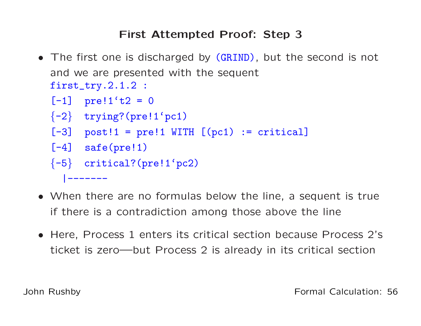# First Attempted Proof: Step <sup>3</sup>

• The first one is discharged by (GRIND), but the second is not and we are presented with the sequentfirst\_try.2.1.2 :

```
[-1] pre!1't2 = 0
{-2} trying?(pre!1'pc1)
[-3] post!1 = pre!1 WITH [(pc1) := critical]
[-4] safe(pre!1)
\{-5\} critical?(pre!1'pc2)
  |-------
```
- When there are no formulas below the line, <sup>a</sup> sequent is trueif there is <sup>a</sup> contradiction among those above the line
- Here, Process <sup>1</sup> enters its critical section because Process 2' sticket is zero—but Process <sup>2</sup> is already in its critical section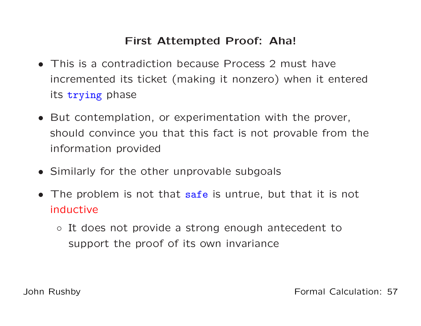# First Attempted Proof: Aha!

- This is <sup>a</sup> contradiction because Process <sup>2</sup> must haveincremented its ticket (making it nonzero) when it enteredits trying phase
- But contemplation, or experimentation with the prover, should convince you that this fact is not provable from theinformation provided
- Similarly for the other unprovable subgoals
- The problem is not that safe is untrue, but that it is not inductive
	- It does not provide <sup>a</sup> strong enough antecedent tosupport the proof of its own invariance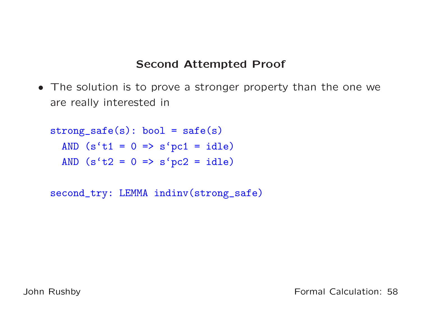## Second Attempted Proof

• The solution is to prove <sup>a</sup> stronger property than the one weare really interested in

```
strong\_safe(s): bool = safe(s)AND (s't1 = 0 \Rightarrow s'pc1 = idle)AND (s't2 = 0 \Rightarrow s'pc2 = idle)
```
second\_try: LEMMA indinv(strong\_safe)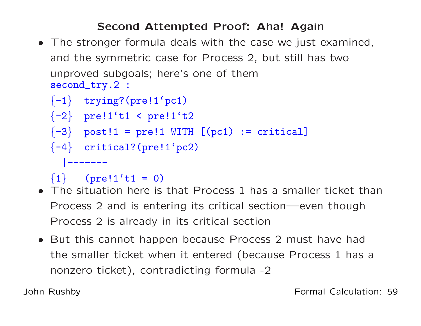# Second Attempted Proof: Aha! Again

 • The stronger formula deals with the case we just examined, and the symmetric case for Process 2, but still has twounproved subgoals; here's one of themsecond\_try.2 :

```
\{-1\} trying?(pre!1'pc1)
{-2} pre!1't1 < pre!1't2
{-3} post!1 = \text{pre}!1 WITH [(\text{pc}1) := critical]
\{-4\} critical?(pre!1'pc2)
  |-------
```
 ${1}$  (pre!1't1 = 0)

- • The situation here is that Process <sup>1</sup> has <sup>a</sup> smaller ticket thanProcess <sup>2</sup> and is entering its critical section—even thoughProcess <sup>2</sup> is already in its critical section
- But this cannot happen because Process <sup>2</sup> must have hadthe smaller ticket when it entered (because Process <sup>1</sup> has <sup>a</sup>nonzero ticket), contradicting formula -2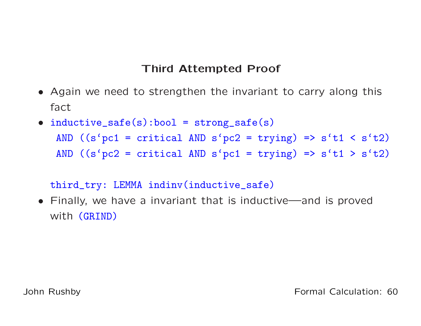# Third Attempted Proof

- Again we need to strengthen the invariant to carry along this fact
- inductive\_safe(s):bool <sup>=</sup> strong\_safe(s) AND  $((s'pc1 = critical AND s'pc2 = trying) \Rightarrow s't1 < s't2)$ AND  $((s'pc2 = critical AND s'pc1 = trying) \Rightarrow s't1 > s't2)$

third\_try: LEMMA indinv(inductive\_safe)

• Finally, we have <sup>a</sup> invariant that is inductive—and is provedwith (GRIND)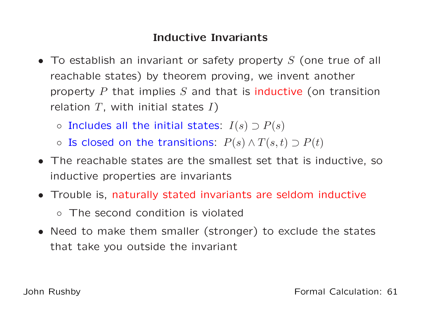# Inductive Invariants

- To establish an invariant or safety property  $S$  (one true of all reachable states) by theorem proving, we invent anotherproperty  $P$  that implies  $S$  and that is inductive (on transition relation  $T$ , with initial states  $I$ )
	- Includes all the initial states:  $I(s) \supset P(s)$
	- Is closed on the transitions:  $P(s) \land T(s,t) \supset P(t)$
- The reachable states are the smallest set that is inductive, soinductive properties are invariants
- Trouble is, naturally stated invariants are seldom inductive◦ The second condition is violated
- Need to make them smaller (stronger) to exclude the states that take you outside the invariant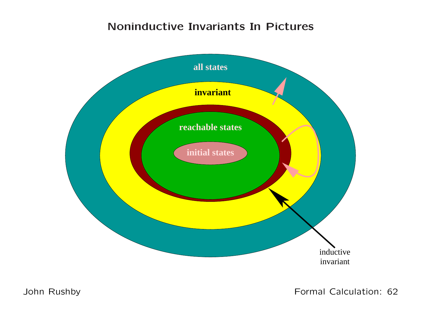# Noninductive Invariants In Pictures



John Rushby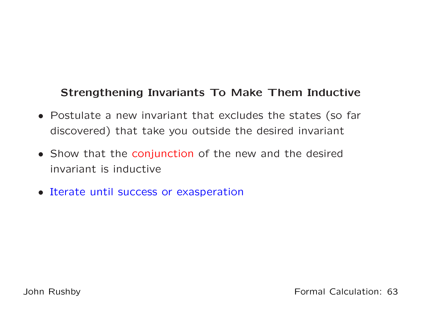# Strengthening Invariants To Make Them Inductive

- Postulate <sup>a</sup> new invariant that excludes the states (so far discovered) that take you outside the desired invariant
- Show that the conjunction of the new and the desired invariant is inductive
- Iterate until success or exasperation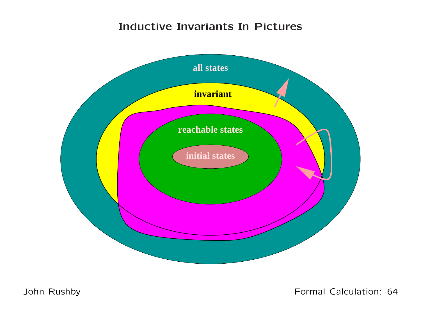# Inductive Invariants In Pictures



John Rushby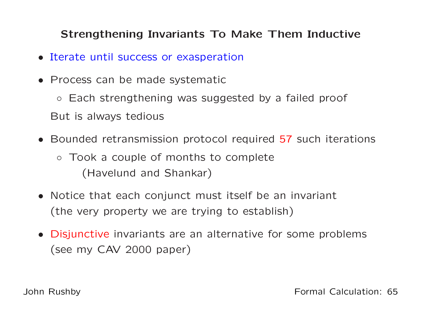# Strengthening Invariants To Make Them Inductive

- Iterate until success or exasperation
- Process can be made systematic

◦ Each strengthening was suggested by <sup>a</sup> failed proof But is always tedious

- Bounded retransmission protocol required <sup>57</sup> such iterations
	- Took <sup>a</sup> couple of months to complete(Havelund and Shankar)
- Notice that each conjunct must itself be an invariant (the very property we are trying to establish)
- Disjunctive invariants are an alternative for some problems (see my CAV <sup>2000</sup> paper)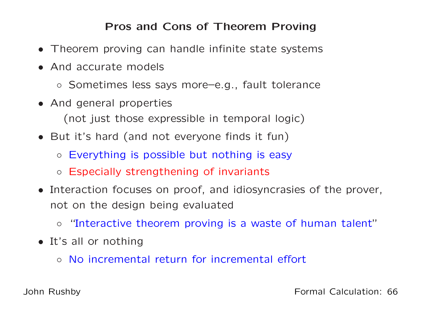# Pros and Cons of Theorem Proving

- Theorem proving can handle infinite state systems
- And accurate models
	- Sometimes less says more–e.g., fault tolerance
- And general properties (not just those expressible in temporal logic)
- But it's hard (and not everyone finds it fun)
	- Everything is possible but nothing is easy
	- Especially strengthening of invariants
- Interaction focuses on proof, and idiosyncrasies of the prover, not on the design being evaluated
	- ◦"Interactive theorem proving is <sup>a</sup> waste of human talent"
- It's all or nothing
	- No incremental return for incremental effort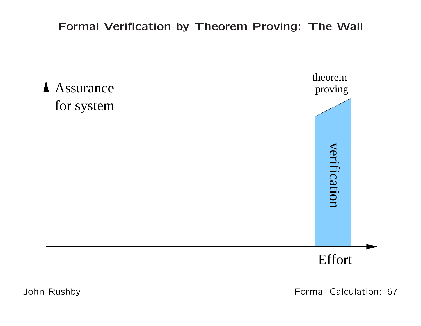Formal Verification by Theorem Proving: The Wall



John Rushby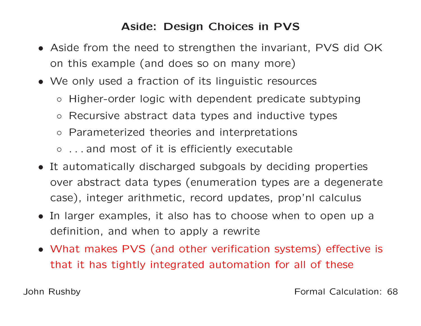## Aside: Design Choices in PVS

- Aside from the need to strengthen the invariant, PVS did OKon this example (and does so on many more)
- We only used <sup>a</sup> fraction of its linguistic resources
	- Higher-order logic with dependent predicate subtyping
	- Recursive abstract data types and inductive types
	- Parameterized theories and interpretations
	- . . . and most of it is efficiently executable
- It automatically discharged subgoals by deciding properties over abstract data types (enumeration types are <sup>a</sup> degeneratecase), integer arithmetic, record updates, prop'nl calculus
- In larger examples, it also has to choose when to open up <sup>a</sup>definition, and when to apply <sup>a</sup> rewrite
- What makes PVS (and other verification systems) effective is that it has tightly integrated automation for all of these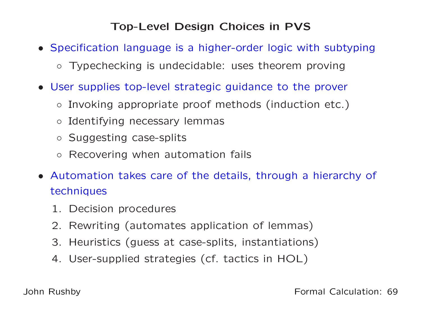# Top-Level Design Choices in PVS

- Specification language is <sup>a</sup> higher-order logic with subtyping
	- Typechecking is undecidable: uses theorem proving
- User supplies top-level strategic guidance to the prover
	- Invoking appropriate proof methods (induction etc.)
	- Identifying necessary lemmas
	- Suggesting case-splits
	- Recovering when automation fails
- Automation takes care of the details, through <sup>a</sup> hierarchy of techniques
	- 1. Decision procedures
	- 2. Rewriting (automates application of lemmas)
	- 3. Heuristics (guess at case-splits, instantiations)
	- 4. User-supplied strategies (cf. tactics in HOL)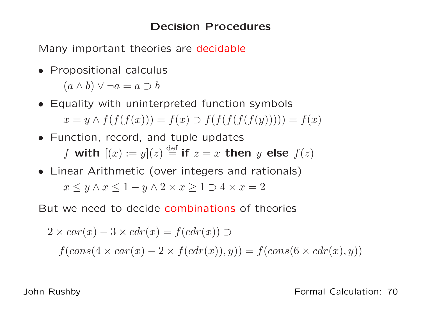## Decision Procedures

Many important theories are decidable

- Propositional calculus  $(a \wedge b) \vee \neg a = a \supset b$
- Equality with uninterpreted function symbols  $x = y \wedge f(f(f(x))) = f(x) \supset f(f(f(f(f(y)))))) = f(x)$
- Function, record, and tuple updates f with  $[(x) := y](z) \stackrel{\text{def}}{=}$  if  $z = x$  then  $y$  else  $f(z)$
- Linear Arithmetic (over integers and rationals)  $x \leq y \wedge x \leq 1 - y \wedge 2 \times x \geq 1 \supset 4 \times x = 2$

But we need to decide combinations of theories

$$
2 \times car(x) - 3 \times cdr(x) = f(cdr(x)) \supset
$$
  

$$
f(cons(4 \times car(x) - 2 \times f(cdr(x)), y)) = f(cons(6 \times cdr(x), y))
$$

John Rushby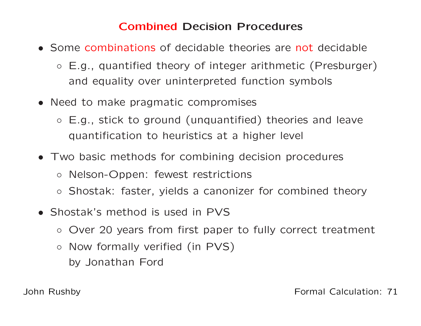# Combined Decision Procedures

- Some combinations of decidable theories are not decidable
	- E.g., quantified theory of integer arithmetic (Presburger) and equality over uninterpreted function symbols
- Need to make pragmatic compromises
	- E.g., stick to ground (unquantified) theories and leavequantification to heuristics at <sup>a</sup> higher level
- Two basic methods for combining decision procedures
	- Nelson-Oppen: fewest restrictions
	- Shostak: faster, yields <sup>a</sup> canonizer for combined theory
- Shostak's method is used in PVS
	- Over <sup>20</sup> years from first paper to fully correct treatment
	- $\circ$  Now formally verified (in PVS) by Jonathan Ford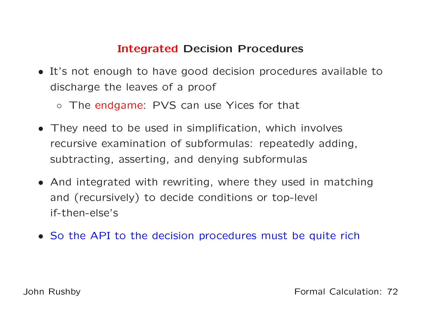# Integrated Decision Procedures

- It's not enough to have good decision procedures available todischarge the leaves of <sup>a</sup> proof
	- The endgame: PVS can use Yices for that
- They need to be used in simplification, which involves recursive examination of subformulas: repeatedly adding, subtracting, asserting, and denying subformulas
- And integrated with rewriting, where they used in matchingand (recursively) to decide conditions or top-level if-then-else's
- So the API to the decision procedures must be quite rich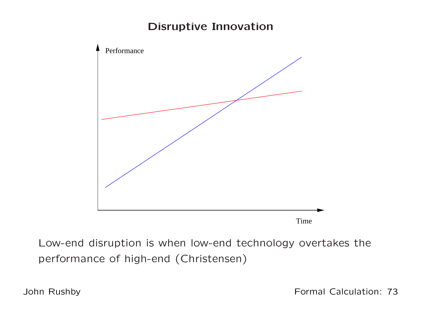### Disruptive Innovation



Low-end disruption is when low-end technology overtakes theperformance of high-end (Christensen)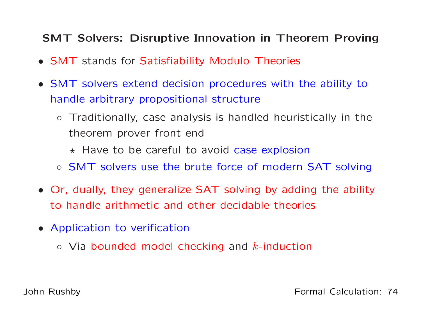### SMT Solvers: Disruptive Innovation in Theorem Proving

- SMT stands for Satisfiability Modulo Theories
- SMT solvers extend decision procedures with the ability tohandle arbitrary propositional structure
	- Traditionally, case analysis is handled heuristically in thetheorem prover front end
		- $\star$  Have to be careful to avoid case explosion
	- SMT solvers use the brute force of modern SAT solving
- Or, dually, they generalize SAT solving by adding the abilityto handle arithmetic and other decidable theories
- Application to verification
	- $\circ$  Via bounded model checking and  $k$ -induction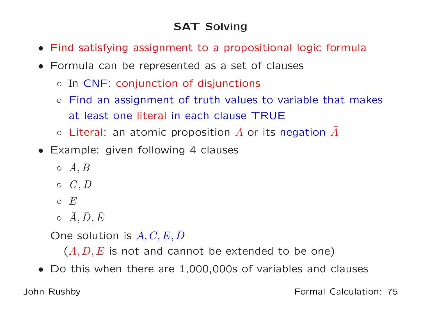## SAT Solving

- Find satisfying assignment to <sup>a</sup> propositional logic formula
- Formula can be represented as <sup>a</sup> set of clauses
	- In CNF: conjunction of disjunctions
	- $\circ$  Find an assignment of truth values to variable that makes at least one literal in each clause TRUE
	- $\circ$  Literal: an atomic proposition  $A$  or its negation  $\bar{A}$
- Example: given following <sup>4</sup> clauses
	- $\circ\; A,B$
	- $\circ$   $C, D$
	- $\circ$   $E$
	- ◦ $\circ \bar{A}, \bar{D}, \bar{E}$

One solution is  $A,C,E,\bar D$ 

 $(A, D, E$  is not and cannot be extended to be one)

• Do this when there are 1,000,000s of variables and clauses

John Rushby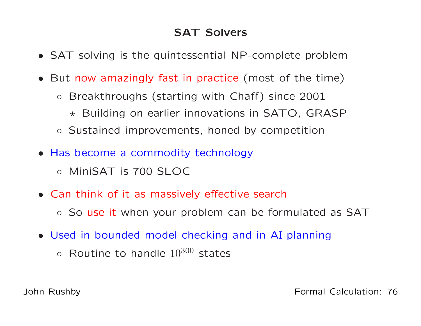### SAT Solvers

- SAT solving is the quintessential NP-complete problem
- But now amazingly fast in practice (most of the time)
	- $\circ$  Breakthroughs (starting with Chaff) since <sup>2001</sup>
		- $\star$  Building on earlier innovations in SATO, GRASP
	- Sustained improvements, honed by competition
- Has become <sup>a</sup> commodity technology
	- MiniSAT is <sup>700</sup> SLOC
- Can think of it as massively effective search
	- So use it when your problem can be formulated as SAT
- Used in bounded model checking and in AI planning
	- $\circ$  Routine to handle  $10^{300}$  states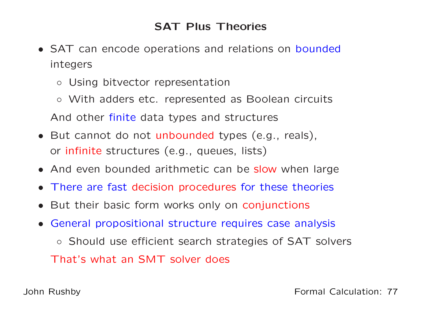### SAT Plus Theories

- SAT can encode operations and relations on bounded integers
	- Using bitvector representation
	- With adders etc. represented as Boolean circuits And other finite data types and structures
- But cannot do not unbounded types (e.g., reals), or infinite structures (e.g., queues, lists)
- And even bounded arithmetic can be slow when large
- There are fast decision procedures for these theories
- But their basic form works only on conjunctions
- General propositional structure requires case analysis
	- Should use efficient search strategies of SAT solvers That's what an SMT solver does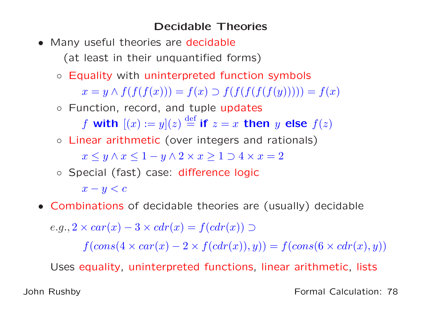#### Decidable Theories

- Many useful theories are decidable (at least in their unquantified forms)
	- Equality with uninterpreted function symbols

 $x = y \wedge f(f(f(x))) = f(x) \supset f(f(f(f(f(y)))) = f(x)$ 

◦ Function, record, and tuple updates

f with  $[(x) := y](z) \stackrel{\text{def}}{=}$  if  $z = x$  then  $y$  else  $f(z)$ 

◦ Linear arithmetic (over integers and rationals)

 $x \leq y \wedge x \leq 1 - y \wedge 2 \times x \geq 1 \supset 4 \times x = 2$ 

◦ Special (fast) case: difference logic

 $x - y < c$ 

• Combinations of decidable theories are (usually) decidable

 $e.g., 2 \times car(x) - 3 \times cdr(x) = f(cdr(x)) \supset$  $f(cons(4 \times car(x) - 2 \times f(cdr(x)), y)) = f(cons(6 \times cdr(x), y))$ 

Uses equality, uninterpreted functions, linear arithmetic, lists

John Rushby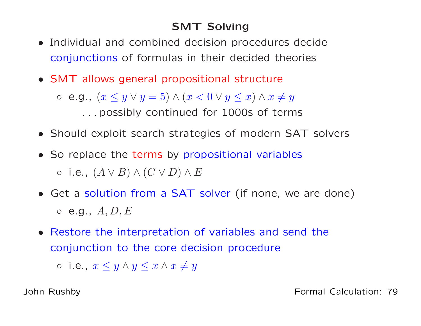## SMT Solving

- $\bullet$  Individual and combined decision procedures decideconjunctions of formulas in their decided theories
- SMT allows general propositional structure

。e.g.,  $(x \le y \lor y = 5) \land (x < 0 \lor y \le x) \land x \ne y$ . . . possibly continued for 1000s of terms

- Should exploit search strategies of modern SAT solvers
- So replace the terms by propositional variables  $\circ$  i.e.,  $(A \vee B) \wedge (C \vee D) \wedge E$
- Get <sup>a</sup> solution from <sup>a</sup> SAT solver (if none, we are done)  $\circ$  e.g.,  $A, D, E$
- Restore the interpretation of variables and send theconjunction to the core decision procedure

 $\circ$  i.e.,  $x \leq y \wedge y \leq x \wedge x \neq y$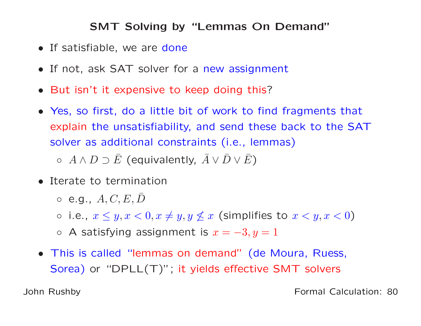#### SMT Solving by "Lemmas On Demand"

- If satisfiable, we are done
- If not, ask SAT solver for <sup>a</sup> new assignment
- But isn't it expensive to keep doing this ?
- Yes, so first, do <sup>a</sup> little bit of work to find fragments that explain the unsatisfiability, and send these back to the SATsolver as additional constraints (i.e., lemmas)

 $\circ\;\;A\wedge D\supset \bar{E}$  (equivalently,  $\bar{A}\vee \bar{D}\vee \bar{E})$ 

- Iterate to termination
	- $\circ$  e.g.,  $A,C,E,\bar{D}$
	- $\circ$  i.e.,  $x \leq y, x < 0, x \neq y, y \not\leq x$  (simplifies to  $x < y, x < 0$ )
	- $\circ$  A satisfying assignment is  $x= 3, y = 1$
- This is called "lemmas on demand" (de Moura, Ruess,  $\mathsf{Sorea})$  or " $\mathsf{DPLL}(\mathsf{T})$ "; it yields effective  $\mathsf{SMT}$  solvers

John Rushby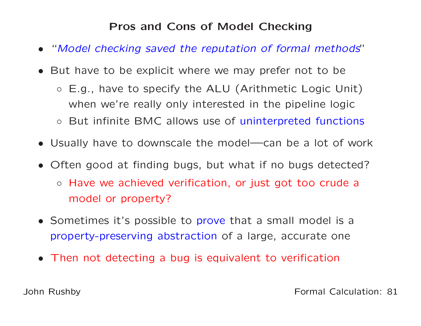### Pros and Cons of Model Checking

- •"Model checking saved the reputation of formal methods"
- But have to be explicit where we may prefer not to be
	- E.g., have to specify the ALU (Arithmetic Logic Unit) when we're really only interested in the pipeline logic
	- But infinite BMC allows use of uninterpreted functions
- Usually have to downscale the model—can be <sup>a</sup> lot of work
- Often good at finding bugs, but what if no bugs detected?
	- Have we achieved verification, or just got too crude <sup>a</sup>model or property?
- Sometimes it's possible to prove that <sup>a</sup> small model is <sup>a</sup> property-preserving abstraction of <sup>a</sup> large, accurate one
- Then not detecting <sup>a</sup> bug is equivalent to verification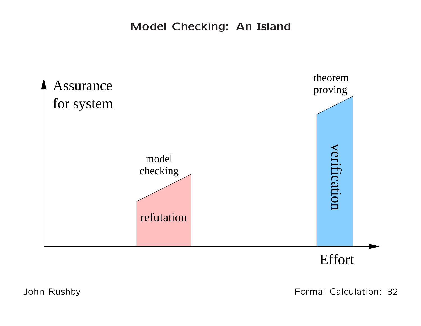Model Checking: An Island



Effort

John Rushby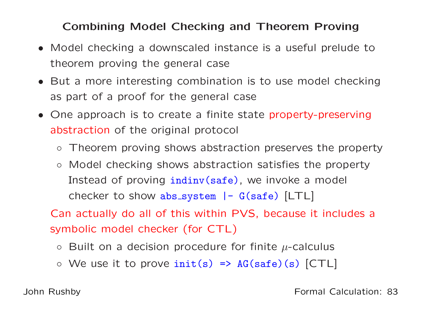### Combining Model Checking and Theorem Proving

- Model checking <sup>a</sup> downscaled instance is <sup>a</sup> useful prelude totheorem proving the general case
- But <sup>a</sup> more interesting combination is to use model checkingas part of <sup>a</sup> proof for the general case
- One approach is to create <sup>a</sup> finite state property-preservingabstraction of the original protocol
	- Theorem proving shows abstraction preserves the property
	- Model checking shows abstraction satisfies the propertyInstead of proving i<mark>ndinv(safe)</mark>, we invoke a model checker to show abs\_system |- G(safe) [LTL]

Can actually do all of this within PVS, because it includes <sup>a</sup>symbolic model checker (for CTL)

- $\circ~$  Built on a decision procedure for finite  $\mu$ -calculus
- $\circ$  We use it to prove  $\text{init}(s) \Rightarrow \text{AG}(\text{safe})(s)$  [CTL]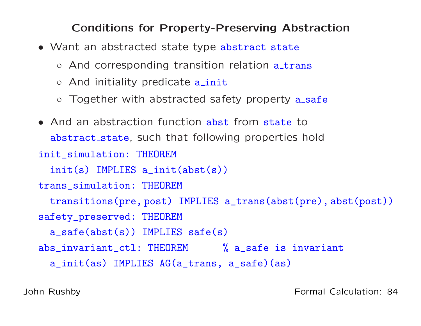#### Conditions for Property-Preserving Abstraction

- Want an abstracted state type abstract\_state
	- And corresponding transition relation a\_trans
	- And initiality predicate a\_init
	- Together with abstracted safety property a\_<mark>saf</mark>e

```
• And an abstraction function abst from state to
  abstract_state, such that following properties hold
init_simulation: THEOREM
  init(s) IMPLIES a_init(abst(s))
trans_simulation: THEOREM
 transitions(pre, post) IMPLIES a_trans(abst(pre), abst(post))
safety_preserved: THEOREM
  a_safe(abst(s)) IMPLIES safe(s)
abs_invariant_ctl: THEOREM % a_safe is invariant
  a_init(as) IMPLIES AG(a_trans, a_safe)(as)
```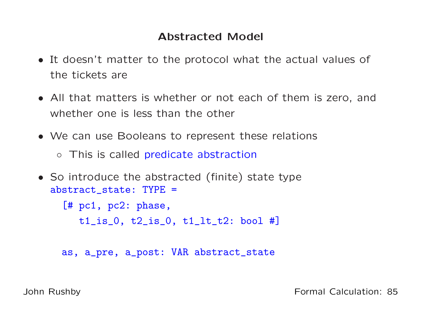### Abstracted Model

- It doesn't matter to the protocol what the actual values of the tickets are
- All that matters is whether or not each of them is zero, andwhether one is less than the other
- We can use Booleans to represent these relations
	- This is called predicate abstraction
- So introduce the abstracted (finite) state typeabstract state: TYPE =

[# pc1, pc2: <sup>p</sup>hase,

 $t1$ <sub>\_</sub>is\_0,  $t2$ <sub>\_</sub>is\_0,  $t1$ <sub>\_</sub>lt\_ $t2$ : bool #]

as, a\_pre, a\_post: VAR abstract\_state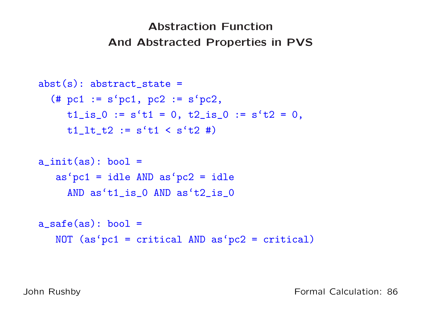# Abstraction FunctionAnd Abstracted Properties in PVS

```
abst(s): abstract_state =
  (\# \text{ pc1} := \text{s} \text{′pc1}, \text{ pc2} := \text{s} \text{′pc2},t1_is_0 := s't1 = 0, t2_is_0 := s't2 = 0,t1_l t_l := s't1 < s't2 #a\_init(as): bool =
   as'pc1 = idle AND as'pc2 = idle
     AND as't1_is_0 AND as't2_is_0
a_safe(as): bool =
   NOT (as 'pc1 = critical AND as 'pc2 = critical)
```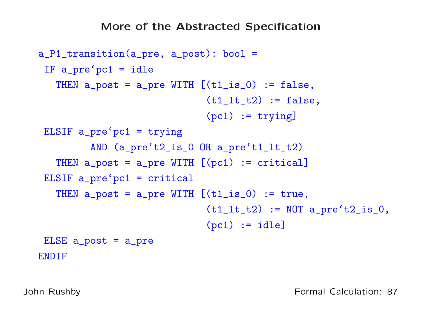```
a_P1_transition(a_pre, a_post): bool =
 IF a_pre'pc1 = idle
   THEN a_{post} = a_{pre} WITH [(t1_is_0) := false,(t1_l_t_t2) := false,(pc1) := tryingELSIF a_{pre}'pc1 = trying
         AND (a_pre't2_is_0 OR a_pre't1_lt_t2)
   THEN a_{post} = a_{pre} WITH [(pc1) := critical]ELSIF a_pre'pc1 = critical
   THEN a_{post} = a_{pre} WITH [(t1_is_0) := true,(t1_l t_t) := NOT a_p t'_l t'_l = ( t_1 t_t t'_l )(pc1) := idle]ELSE a_post = a_pre
ENDIF
```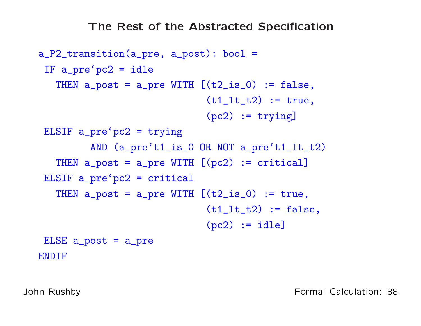```
a_P2_transition(a_pre, a_post): bool =
 IF a_pre'pc2 = idle
   THEN a_{post} = a_{pre} WITH [(t2_is_0) := false,(t1_l_t_t2) := true,
                              (pc2) := tryingELSIF a_{pre}'pc2 = trying
         AND (a_pre't1_is_0 OR NOT a_pre't1_lt_t2)
   THEN a_{post} = a_{pre} WITH [(pc2) := critical]ELSIF a_pre'pc2 = critical
   THEN a\_post = a\_pre WITH [(t2_is_0) := true,(t1_l_t_t2) := false,(pc2) := idle]ELSE a_post = a_pre
ENDIF
```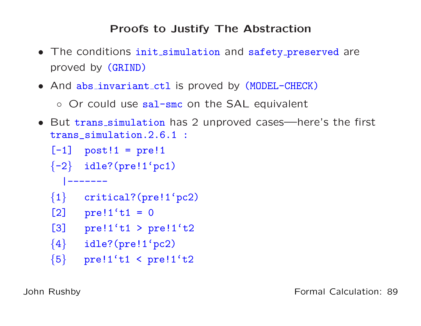### Proofs to Justify The Abstraction

- The conditions init simulation and safety preserve<sup>d</sup> are proved by (GRIND)
- And abs invariant ctl is proved by (MODEL-CHECK)

◦ Or could use sal-smc on the SAL equivalent

• But trans simulation has <sup>2</sup> unproved cases—here's the first trans\_simulation.2.6.1 :

```
[-1] post!1 = pre!1
```
 $\{-2\}$  idle?(pre!1'pc1)

```
|-------
```
 $\{1\}$  critical?(pre!1'pc2)

```
[2] pre!1't1 = 0
```
[3]  $pre!1't1 > pre!1't2$ 

```
\{4\} idle?(pre!1'pc2)
```

```
\{5\}pre!1't1 < pre!1't2
```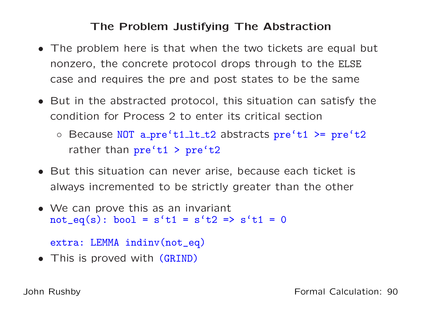### The Problem Justifying The Abstraction

- The problem here is that when the two tickets are equal but nonzero, the concrete protocol drops through to the ELSE case and requires the pre and post states to be the same
- But in the abstracted protocol, this situation can satisfy thecondition for Process <sup>2</sup> to enter its critical section
	- Because NOT a\_pre't1\_lt\_t2 abstracts pre't1 >= pre't2 rather than pre't1 <sup>&</sup>gt; pre't2
- But this situation can never arise, because each ticket is always incremented to be strictly greater than the other
- We can prove this as an invariant  $not_eq(s)$ : bool =  $s't1 = s't2$  =>  $s't1 = 0$

```
extra: LEMMA indinv(not_eq)
```
• This is proved with (GRIND)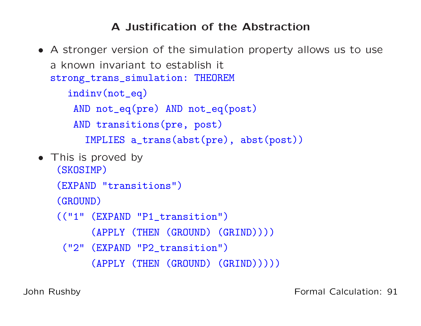## <sup>A</sup> Justification of the Abstraction

• <sup>A</sup> stronger version of the simulation property allows us to use<sup>a</sup> known invariant to establish it strong\_trans\_simulation: THEOREM indinv(not\_eq)AND not\_eq(pre) AND not\_eq(post) AND transitions(pre, post) IMPLIES a\_trans(abst(pre), abst(post)) • This is proved by (SKOSIMP)(EXPAND "transitions") (GROUND)(("1" (EXPAND "P1\_transition") (APPLY (THEN (GROUND) (GRIND)))) ("2" (EXPAND "P2\_transition") (APPLY (THEN (GROUND) (GRIND)))))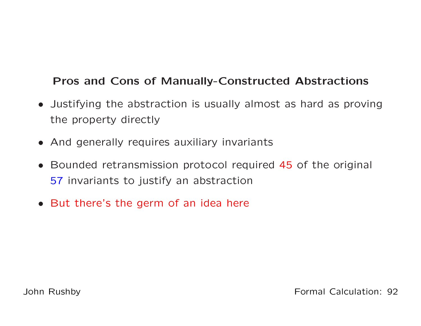### Pros and Cons of Manually-Constructed Abstractions

- Justifying the abstraction is usually almost as hard as provingthe property directly
- And generally requires auxiliary invariants
- Bounded retransmission protocol required <sup>45</sup> of the original 57 invariants to justify an abstraction
- But there's the germ of an idea here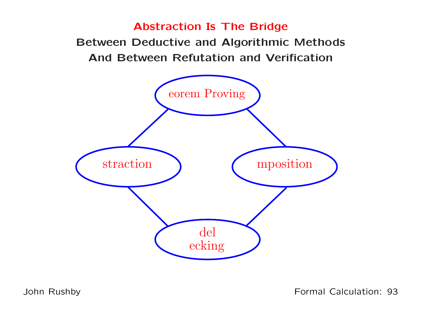#### Abstraction Is The Bridge

 Between Deductive and Algorithmic MethodsAnd Between Refutation and Verification



John Rushby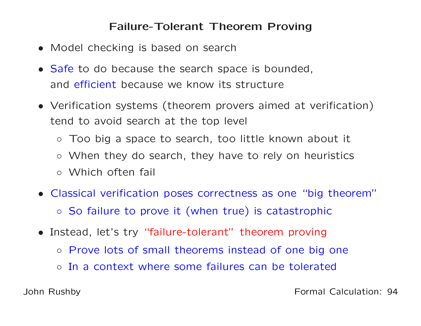#### Failure-Tolerant Theorem Proving

- Model checking is based on search
- Safe to do because the search space is bounded, and efficient because we know its structure
- Verification systems (theorem provers aimed at verification) tend to avoid search at the top level
	- Too big <sup>a</sup> space to search, too little known about it
	- When they do search, they have to rely on heuristics
	- Which often fail
- Classical verification poses correctness as one "big theorem"
	- So failure to prove it (when true) is catastrophic
- Instead, let's try "failure-tolerant" theorem proving
	- Prove lots of small theorems instead of one big one
	- In <sup>a</sup> context where some failures can be tolerated

John Rushby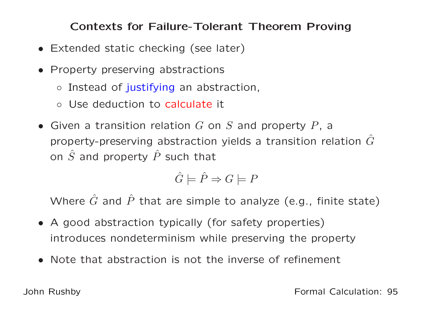Contexts for Failure-Tolerant Theorem Proving

- Extended static checking (see later)
- Property preserving abstractions
	- Instead of justifying an abstraction,
	- Use deduction to calculate it
- Given a transition relation  $G$  on  $S$  and property  $P$ , a property-preserving abstraction yields a transition relation  $\hat{G}$ on  $\hat{S}$  and property  $\hat{P}$  such that

$$
\hat{G} \models \hat{P} \Rightarrow G \models P
$$

Where  $\hat{G}$  and  $\hat{P}$  that are simple to analyze (e.g., finite state)

- <sup>A</sup> good abstraction typically (for safety properties) introduces nondeterminism while preserving the property
- Note that abstraction is not the inverse of refinement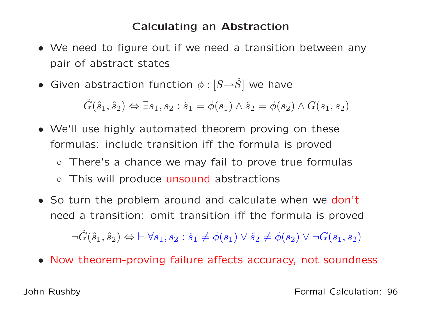#### Calculating an Abstraction

- We need to figure out if we need <sup>a</sup> transition between anypair of abstract states
- Given abstraction function  $\phi : [S \rightarrow \hat{S}]$  we have

 $\hat{G}(\hat{s}_1, \hat{s}_2) \Leftrightarrow \exists s_1, s_2 : \hat{s}_1 = \phi(s_1) \wedge \hat{s}_2 = \phi(s_2) \wedge G(s_1, s_2)$ 

- We'll use highly automated theorem proving on theseformulas: include transition iff the formula is proved
	- There's <sup>a</sup> chance we may fail to prove true formulas
	- This will produce unsound abstractions
- So turn the problem around and calculate when we don't need <sup>a</sup> transition: omit transition iff the formula is proved $\neg \hat{G}(\hat{s}_1, \hat{s}_2) \Leftrightarrow \vdash \forall s_1, s_2: \hat{s}_1 \neq \phi(s_1) \vee \hat{s}_2 \neq \phi(s_2) \vee \neg G(s_1, s_2)$
- Now theorem-proving failure affects accuracy, not soundness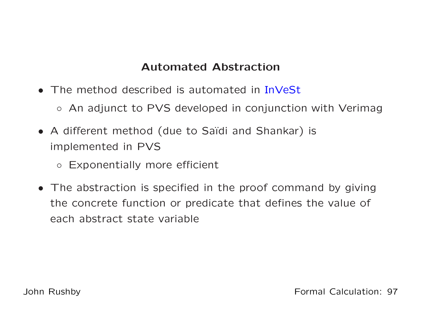### Automated Abstraction

- The method described is automated in InVeSt
	- An adjunct to PVS developed in conjunction with Verimag
- A different method (due to Saïdi and Shankar) is implemented in PVS
	- Exponentially more efficient
- The abstraction is specified in the proof command by givingthe concrete function or predicate that defines the value of each abstract state variable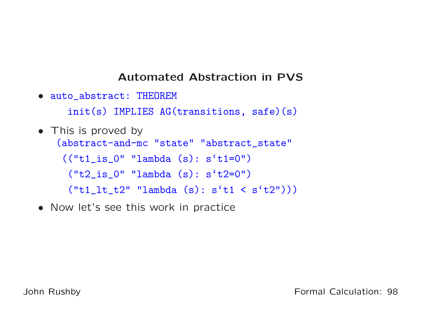#### Automated Abstraction in PVS

• auto\_abstract: THEOREM

init(s) IMPLIES AG(transitions, safe)(s)

- This is proved by (abstract-and-mc "state" "abstract\_state"  $(("t1_is_0" "lambda (s): s't1=0")$ ("t2\_is\_0" "lambda (s): <sup>s</sup>'t2=0")  $('t1_1t_t2" 'lambda (s): s't1 < s't2"))$
- Now let's see this work in practice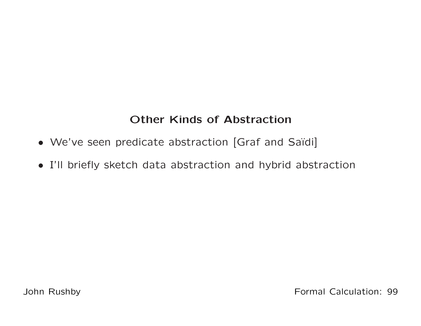## Other Kinds of Abstraction

- We've seen predicate abstraction [Graf and Saïdi]
- I'll briefly sketch data abstraction and hybrid abstraction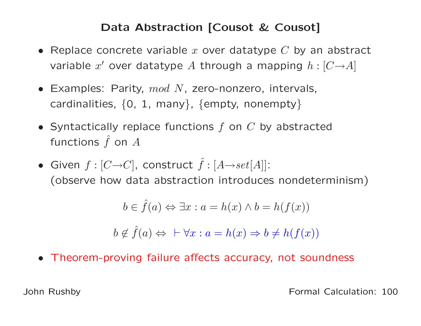### Data Abstraction [Cousot & Cousot]

- Replace concrete variable  $x$  over datatype  $C$  by an abstract variable  $x'$  over datatype  $A$  through a mapping  $h: [C \rightarrow A]$
- Examples: Parity,  $mod\ N$ , zero-nonzero, intervals, cardinalities,  $\{0,~1,~$  many $\},~$  {empty, nonempty}
- Syntactically replace functions  $f$  on  $C$  by abstracted functions  $\hat{f}$  on  $A$
- $\bullet$  Given  $f : [C {\rightarrow} C]$ , construct  $\hat{f} : [A {\rightarrow} set[A]]$ : (observe how data abstraction introduces nondeterminism)

$$
b \in \hat{f}(a) \Leftrightarrow \exists x : a = h(x) \land b = h(f(x))
$$

$$
b \notin \hat{f}(a) \Leftrightarrow \ \vdash \forall x : a = h(x) \Rightarrow b \neq h(f(x))
$$

• Theorem-proving failure affects accuracy, not soundness

John Rushby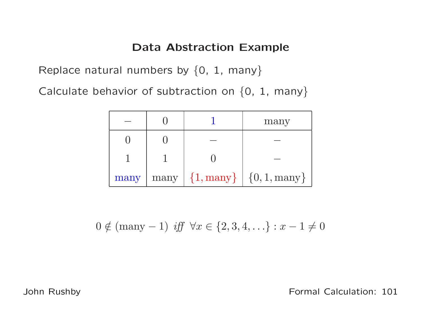### Data Abstraction Example

Replace natural numbers by  $\{0,~1,~$ many $\}$ 

Calculate behavior of subtraction on  $\{0,~1,~$ many $\}$ 

|      |                     | many                                            |
|------|---------------------|-------------------------------------------------|
|      |                     |                                                 |
|      |                     |                                                 |
| many | $\left \max\right $ | $\{1, \text{many}\}\mid \{0, 1, \text{many}\}\$ |

$$
0 \notin (many - 1)
$$
 iff  $\forall x \in \{2, 3, 4, ...\} : x - 1 \neq 0$ 

John Rushby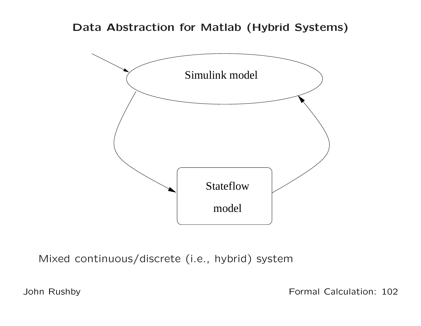### Data Abstraction for Matlab (Hybrid Systems)



Mixed continuous/discrete (i.e., hybrid) system

John Rushby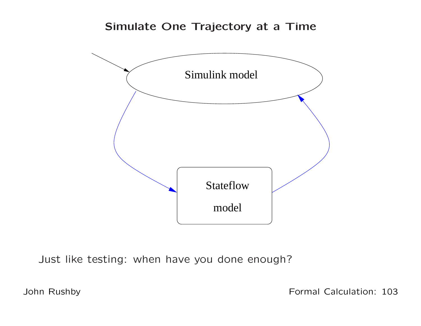#### Simulate One Trajectory at <sup>a</sup> Time



Just like testing: when have you done enough?

John Rushby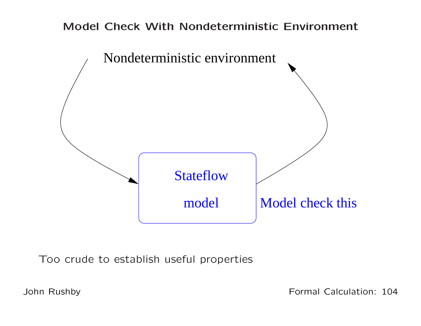### Model Check With Nondeterministic Environment



Too crude to establish useful properties

John Rushby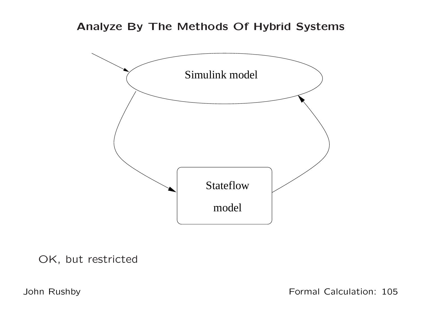#### Analyze By The Methods Of Hybrid Systems



OK, but restricted

John Rushby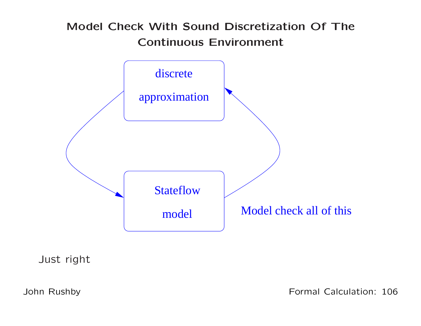## Model Check With Sound Discretization Of TheContinuous Environment



Just right

John Rushby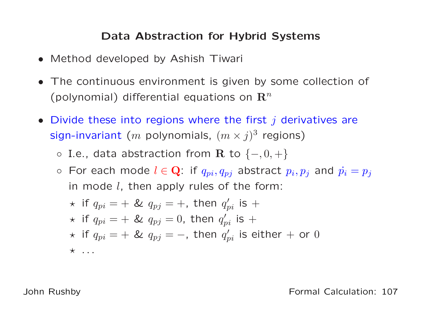### Data Abstraction for Hybrid Systems

- Method developed by Ashish Tiwari
- The continuous environment is given by some collection of (polynomial) differential equations on  ${\bf R}^n$
- Divide these into regions where the first  $j$  derivatives are sign-invariant ( $m$  polynomials,  $(m\times j)^3$  regions)
	- $\circ$  I.e., data abstraction from  $\mathbf R$  to  $\{-,0,+\}$
	- $\circ~$  For each mode  $l \in \mathbf{Q}$ : if  $q_{pi}, q_{pj}$  abstract  $p_i, p_j$  and  $\dot{p_i} = p_j$ in mode  $l$ , then apply rules of the form:

★ if 
$$
q_{pi}
$$
 = + &  $q_{pj}$  = +, then  $q'_{pi}$  is +  
★ if  $q_{pi}$  = + &  $q_{pj}$  = 0, then  $q'_{pi}$  is +  
★ if  $q_{pi}$  = + &  $q_{pj}$  = -, then  $q'_{pi}$  is either + or 0  
★ ...

John Rushby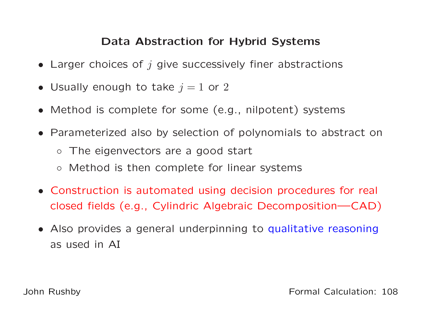### Data Abstraction for Hybrid Systems

- Larger choices of  $j$  give successively finer abstractions
- Usually enough to take  $j=1$  or  $2$
- Method is complete for some (e.g., nilpotent) systems
- Parameterized also by selection of polynomials to abstract on
	- The eigenvectors are <sup>a</sup> good start
	- Method is then complete for linear systems
- Construction is automated using decision procedures for real closed fields (e.g., Cylindric Algebraic Decomposition—CAD)
- Also provides <sup>a</sup> general underpinning to qualitative reasoning as used in AI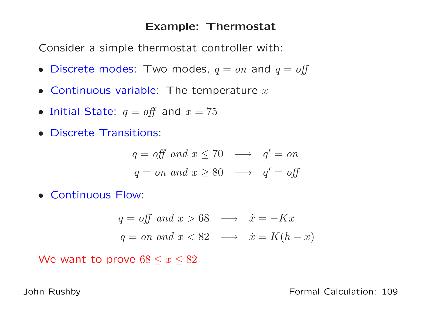#### Example: Thermostat

Consider <sup>a</sup> simple thermostat controller with:

- Discrete modes: Two modes,  $q = on$  and  $q = off$
- Continuous variable: The temperature  $x$
- Initial State:  $q = off$  and  $x = 75$
- Discrete Transitions:

$$
q = off \ and \ x \le 70 \ \longrightarrow \ q' = on
$$
  

$$
q = on \ and \ x \ge 80 \ \longrightarrow \ q' = off
$$

• Continuous Flow:

$$
q = off and x > 68 \longrightarrow \dot{x} = -Kx
$$
  

$$
q = on and x < 82 \longrightarrow \dot{x} = K(h - x)
$$

We want to prove  $68 \leq x \leq 82$ 

John Rushby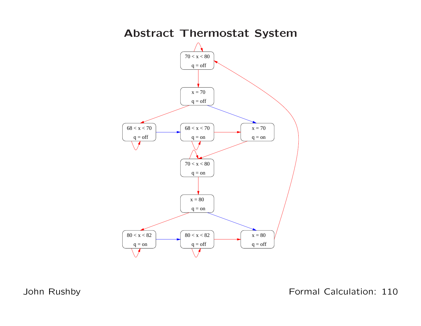

John Rushby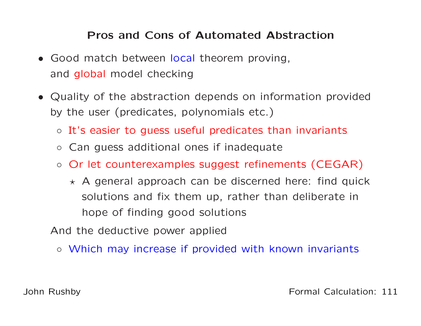# Pros and Cons of Automated Abstraction

- Good match between local theorem proving, and <mark>global</mark> model checking
- Quality of the abstraction depends on information providedby the user (predicates, polynomials etc.)
	- It's easier to guess useful predicates than invariants
	- Can guess additional ones if inadequate
	- Or let counterexamples suggest refinements (CEGAR)
		- $\star$  A general approach can be discerned here: find quick solutions and fix them up, rather than deliberate inhope of finding good solutions

And the deductive power applied

◦ Which may increase if provided with known invariants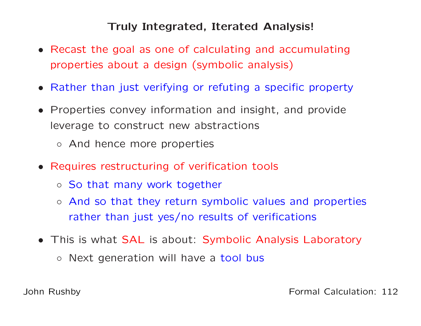### Truly Integrated, Iterated Analysis!

- Recast the goal as one of calculating and accumulatingproperties about <sup>a</sup> design (symbolic analysis)
- Rather than just verifying or refuting <sup>a</sup> specific property
- Properties convey information and insight, and provideleverage to construct new abstractions
	- And hence more properties
- Requires restructuring of verification tools
	- So that many work together
	- And so that they return symbolic values and properties rather than just yes/no results of verifications
- This is what SAL is about: Symbolic Analysis Laboratory
	- Next generation will have <sup>a</sup> tool bus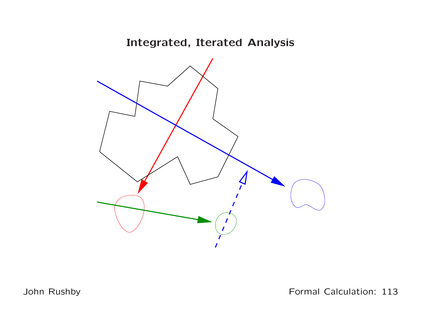# Integrated, Iterated Analysis



John Rushby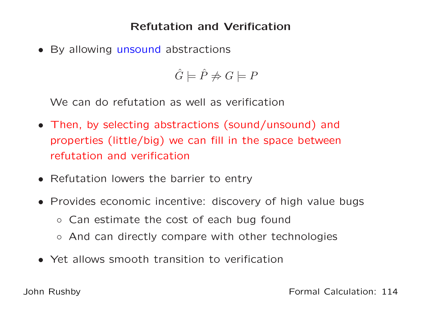### Refutation and Verification

• By allowing unsound abstractions

 $\hat{G} \models \hat{P} \not\Rightarrow G \models P$ 

We can do refutation as well as verification

- Then, by selecting abstractions (sound/unsound) andproperties (little/big) we can fill in the space betweenrefutation and verification
- Refutation lowers the barrier to entry
- Provides economic incentive: discovery of high value bugs
	- Can estimate the cost of each bug found
	- And can directly compare with other technologies
- Yet allows smooth transition to verification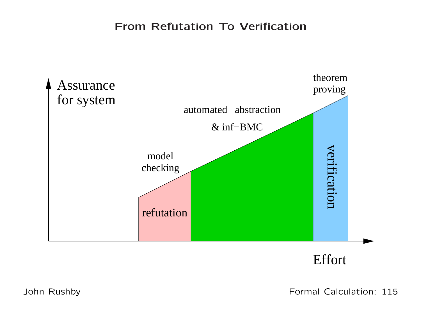### From Refutation To Verification





John Rushby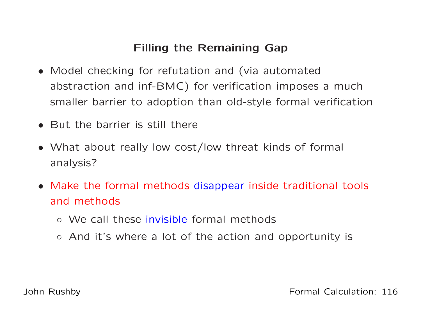# Filling the Remaining Gap

- Model checking for refutation and (via automatedabstraction and inf-BMC) for verification imposes <sup>a</sup> muchsmaller barrier to adoption than old-style formal verification
- But the barrier is still there
- What about really low cost/low threat kinds of formal analysis?
- Make the formal methods disappear inside traditional tools and methods
	- We call these invisible formal methods
	- And it's where <sup>a</sup> lot of the action and opportunity is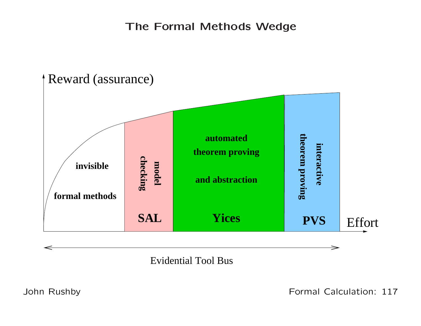The Formal Methods Wedge



Evidential Tool Bus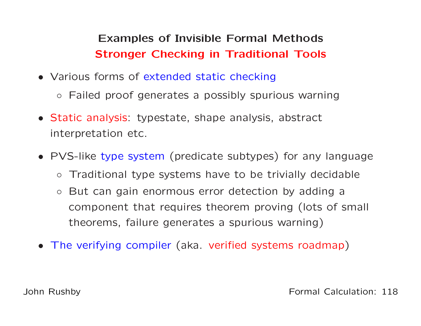# Examples of Invisible Formal MethodsStronger Checking in Traditional Tools

- Various forms of extended static checking
	- Failed proof generates <sup>a</sup> possibly spurious warning
- Static analysis: typestate, shape analysis, abstract interpretation etc.
- PVS-like type system (predicate subtypes) for any language
	- $\circ$ Traditional type systems have to be trivially decidable
	- $\circ$  But can gain enormous error detection by adding <sup>a</sup>component that requires theorem proving (lots of small theorems, failure generates <sup>a</sup> spurious warning)
- The verifying compiler (aka. verified systems roadmap)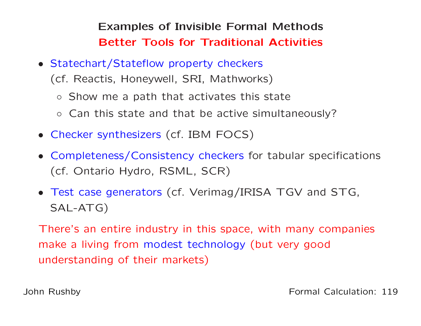Examples of Invisible Formal MethodsBetter Tools for Traditional Activities

• Statechart/Stateflow property checkers

(cf. Reactis, Honeywell, SRI, Mathworks)

- Show me <sup>a</sup> path that activates this state
- Can this state and that be active simultaneously?
- Checker synthesizers (cf. IBM FOCS)
- Completeness/Consistency checkers for tabular specifications (cf. Ontario Hydro, RSML, SCR)
- Test case generators (cf. Verimag/IRISA TGV and STG, SAL-ATG)

There's an entire industry in this space, with many companiesmake <sup>a</sup> living from modest technology (but very good understanding of their markets)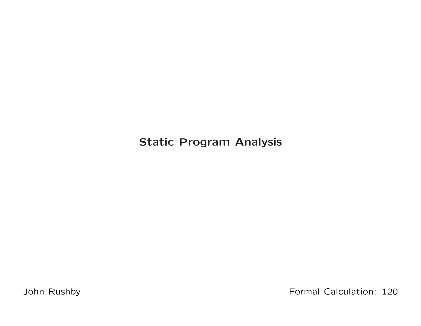Static Program Analysis

John Rushby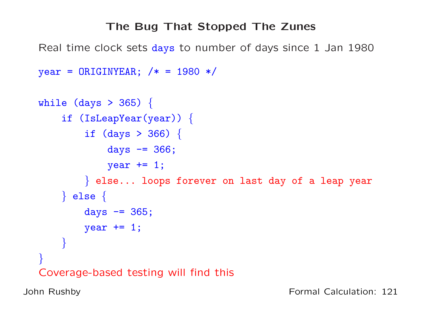# The Bug That Stopped The Zunes

Real time clock sets days to number of days since <sup>1</sup> Jan <sup>1980</sup>

```
year = ORIGINYEAR; /* = 1980 */
```

```
while (days > 365)
{if (IsLeapYear(year))
{if (days > 366)
{days -= 366;
            year += 1;
        \} else... loops forever on last day of a leap year
    \} else \{days -= 365;
        year += 1;
    }}Coverage-based testing will find this
```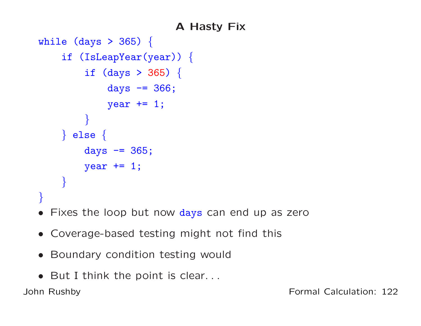# <sup>A</sup> Hasty Fix

```
while (days > 365) {
    if (IsLeapYear(year)) {
         if (\text{days} > 365) {
             days - = 366;
             year += 1;
         }} else {
         days - = 365;
        year += 1;
    }}
```
- Fixes the loop but now days can end up as zero
- Coverage-based testing might not find this
- Boundary condition testing would
- But <sup>I</sup> think the point is clear. . .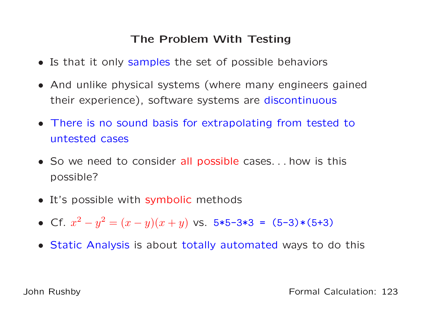# The Problem With Testing

- Is that it only samples the set of possible behaviors
- And unlike physical systems (where many engineers gainedtheir experience), software systems are discontinuous
- There is no sound basis for extrapolating from tested tountested cases
- So we need to consider all possible cases. . . how is this possible?
- It's possible with symbolic methods
- Cf.  $x^2$  $2-y^2 = (x$  $y)(x+y)$  vs. 5\*5-3\*3 = (5-3)\*(5+3)
- Static Analysis is about totally automated ways to do this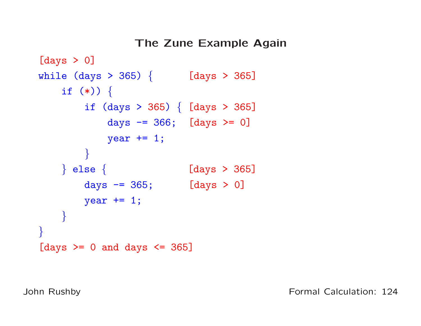```
The Zune Example Again[days > 0]
while (days > 365) { [days > 365]
   if (*) \}if (days > 365) { [days > 365]
           days == 366; [days > = 0]year += 1;
       }} else { [days > 365]
       days - = 365; [days > 0]year += 1;
    }}[days >= 0 and days <= 365]
```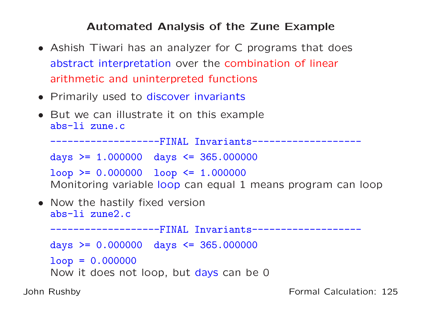### Automated Analysis of the Zune Example

- Ashish Tiwari has an analyzer for <sup>C</sup> programs that does abstract interpretation over the combination of linear arithmetic and uninterpreted functions
- Primarily used to discover invariants
- But we can illustrate it on this example abs-li zune.c

-------------------FINAL Invariants------------------ days >= 1.000000 days <= 365.000000  $loop$  >= 0.000000 loop <= 1.000000 Monitoring variable loop can equal <sup>1</sup> means program can loop

• Now the hastily fixed version abs-li zune2.c

-------------------FINAL Invariants------------------ days >= 0.000000 days <= 365.000000  $loop = 0.000000$ Now it does not loop, but <mark>days</mark> can be 0

John Rushby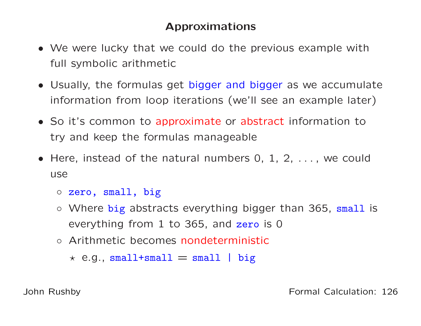# Approximations

- We were lucky that we could do the previous example withfull symbolic arithmetic
- Usually, the formulas get bigger and bigger as we accumulateinformation from loop iterations (we'll see an example later)
- So it's common to approximate or abstract information to try and keep the formulas manageable
- Here, instead of the natural numbers 0, 1, 2, . . . , we coulduse
	- zero, small, big
	- Where big abstracts everything bigger than 365, small is everything from 1 to 365, and zero is 0
	- Arithmetic becomes nondeterministic
		- $\star$  e.g., small+small  $=$  small  $|$  big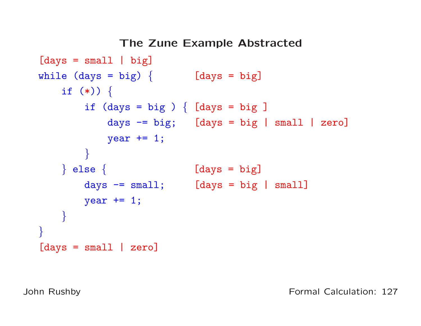```
The Zune Example Abstracted[days = small | big]while (\text{days} = \text{big}) \{ [\text{days} = \text{big}]if (*)) {
         if (\text{days} = \text{big}) \{ [\text{days} = \text{big}]days \overline{-} big; [days = big | small | zero]
             year += 1;
         }\} else \{[days = big]days = small; [days = big | small]year += 1;
    }}[days = small | zero]
```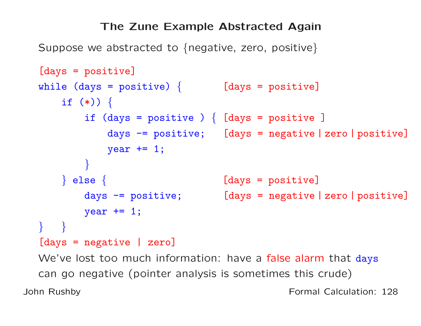#### The Zune Example Abstracted Again

Suppose we abstracted to  $\{$ negative, zero, positive $\}$ 

```
[days = positive]
while (days = positive)
{ [days = positive]
    if (*)) {
        if (days = positive )
{ [days = positive ]
            days -= positive; [days = negative | zero | positive]
            year += 1;
        }\} else \{ [days = positive]
       days -= positive; [days = negative | zero | positive]
       year += 1;
} }
[days = negative | zero]
```
We've lost too much information: have a false alarm that days can go negative (pointer analysis is sometimes this crude)John RushbyFormal Calculation: <sup>128</sup>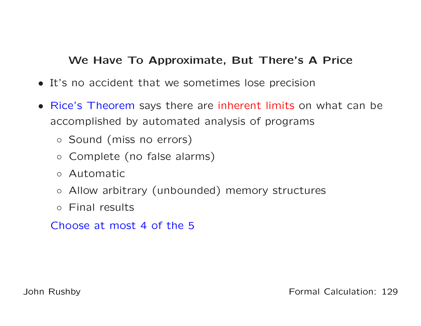### We Have To Approximate, But There's <sup>A</sup> Price

- It's no accident that we sometimes lose precision
- Rice's Theorem says there are inherent limits on what can be accomplished by automated analysis of programs
	- Sound (miss no errors)
	- Complete (no false alarms)
	- Automatic
	- Allow arbitrary (unbounded) memory structures
	- Final results

Choose at most <sup>4</sup> of the <sup>5</sup>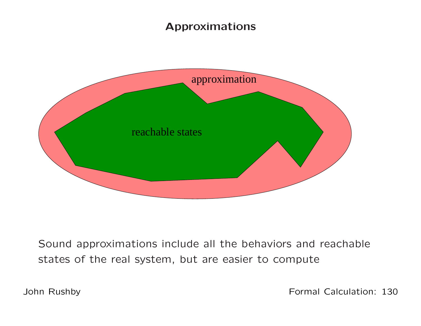# Approximations



Sound approximations include all the behaviors and reachablestates of the real system, but are easier to compute

John Rushby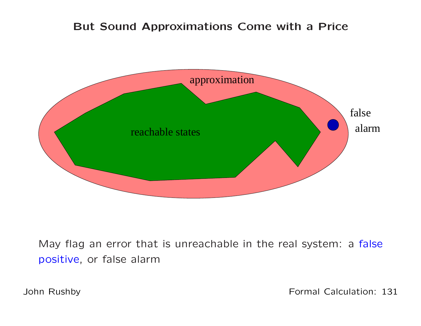#### But Sound Approximations Come with <sup>a</sup> Price



May flag an error that is unreachable in the real system: a f<mark>alse</mark> positive, or false alarm

John Rushby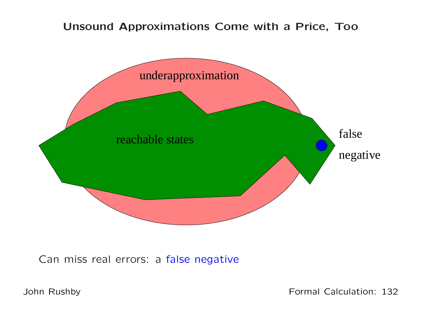#### Unsound Approximations Come with <sup>a</sup> Price, Too



Can miss real errors: <sup>a</sup> false negative

John Rushby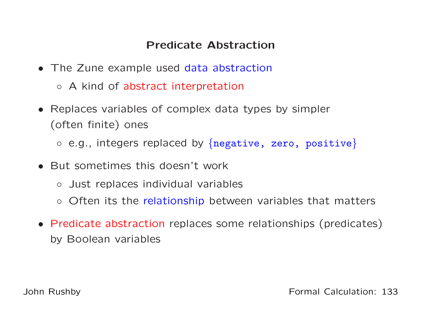# Predicate Abstraction

- The Zune example used data abstraction
	- <sup>A</sup> kind of abstract interpretation
- Replaces variables of complex data types by simpler (often finite) ones
	- $\circ$  e.g., integers replaced by  $\{$ negative, zero, positive $\}$
- But sometimes this doesn't work
	- Just replaces individual variables
	- Often its the relationship between variables that matters
- Predicate abstraction replaces some relationships (predicates) by Boolean variables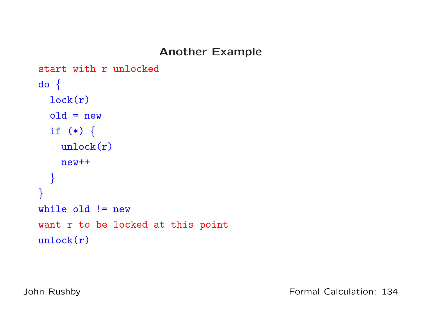### Another Example

```
start with r unlocked
do {
 lock(r)old = newif (*) {
   unlock(r)new++}}while old != new
want r to be locked at this point
unlock(r)
```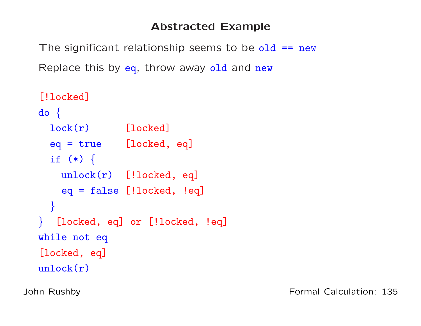### Abstracted Example

The significant relationship seems to be old == new Replace this by <mark>eq</mark>, throw away old and  $\mathtt{new}$ 

```
[!locked]
do {
  lock(r) [locked]
 eq = true [locked, eq]
 if (*) {
    unlock(r) [!locked, eq]
   eq = false [!locked, !eq]
 }} [locked, eq] or [!locked, !eq]
while not eq
[locked, eq]
unlock(r)
```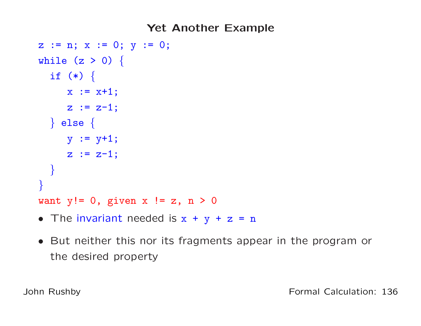### Yet Another Example

```
z := n; x := 0; y := 0;while (z > 0) {
  if (*) {
    x := x+1;z := z-1;} else {
    y := y+1;z := z-1;}}want y!= 0, given x := z, n > 0
```
- The invariant needed is  $x + y + z = n$
- But neither this nor its fragments appear in the program or the desired property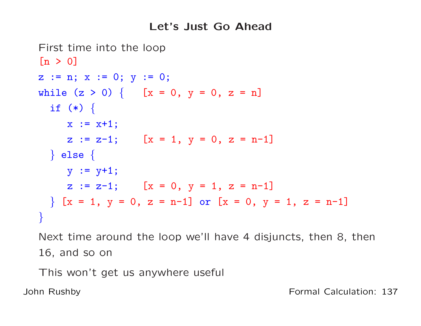### Let's Just Go Ahead

```
First time into the loop[n > 0]z := n; x := 0; y := 0;while (z > 0) \{ [x = 0, y = 0, z = n]if (*) {
    x := x+1:
    z := z-1; [x = 1, y = 0, z = n-1]} else {
    y := y+1;z := z-1; [x = 0, y = 1, z = n-1]\{x = 1, y = 0, z = n-1\} or [x = 0, y = 1, z = n-1]}
```
Next time around the loop we'll have <sup>4</sup> disjuncts, then 8, then16, and so on

This won't get us anywhere useful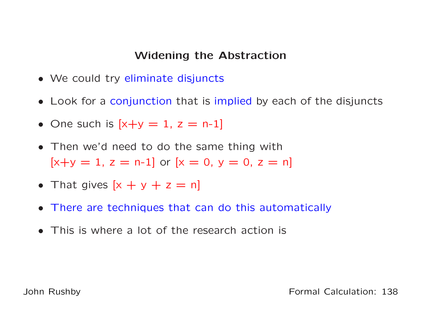#### Widening the Abstraction

- We could try eliminate disjuncts
- Look for <sup>a</sup> conjunction that is implied by each of the disjuncts
- One such is  $[x+y=1, z=n-1]$
- Then we'd need to do the same thing with $[x+y = 1, z = n-1]$  or  $[x = 0, y = 0, z = n]$
- That gives  $[x + y + z = n]$
- There are techniques that can do this automatically
- This is where <sup>a</sup> lot of the research action is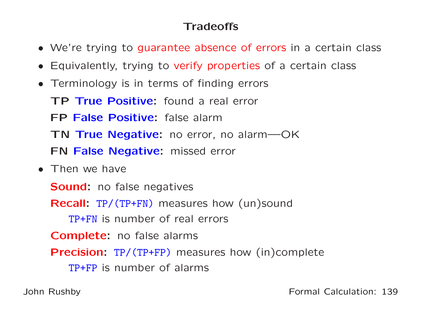# Tradeoffs

- We're trying to guarantee absence of errors in <sup>a</sup> certain class
- Equivalently, trying to verify properties of <sup>a</sup> certain class
- Terminology is in terms of finding errors

**TP True Positive:** found a real error FP False Positive: false alarm **TN True Negative:** no error, no alarm—OK **FN False Negative:** missed error

• Then we have

**Sound:** no false negatives

**Recall:** TP/(TP+FN) measures how (un)sound

TP+FN is number of real errors

**Complete:** no false alarms

**Precision:** TP/(TP+FP) measures how (in)complete

TP+FP is number of alarms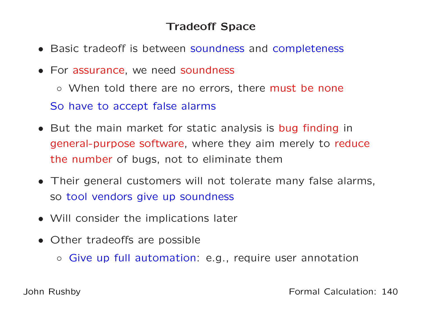# Tradeoff Space

- Basic tradeoff is between soundness and completeness
- For assurance, we need soundness

◦ When told there are no errors, there must be none So have to accept false alarms

- But the main market for static analysis is bug finding in general-purpose software, where they aim merely to reduce the number of bugs, not to eliminate them
- Their general customers will not tolerate many false alarms, so tool vendors give up soundness
- Will consider the implications later
- Other tradeoffs are possible
	- Give up full automation: e.g., require user annotation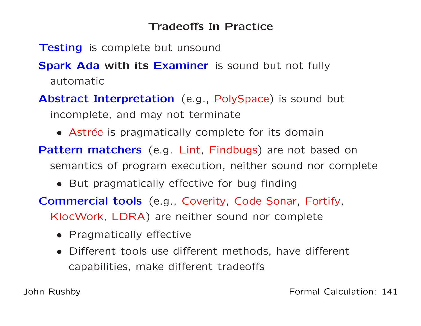# Tradeoffs In Practice

- **Testing** is complete but unsound
- **Spark Ada with its Examiner** is sound but not fully automatic
- Abstract Interpretation (e.g., PolySpace) is sound but incomplete, and may not terminate
	- Astrée is pragmatically complete for its domain
- Pattern matchers (e.g. Lint, Findbugs) are not based on semantics of program execution, neither sound nor complete
	- But pragmatically effective for bug finding
- Commercial tools (e.g., Coverity, Code Sonar, Fortify, KlocWork, LDRA) are neither sound nor complete
	- Pragmatically effective
	- Different tools use different methods, have different capabilities, make different tradeoffs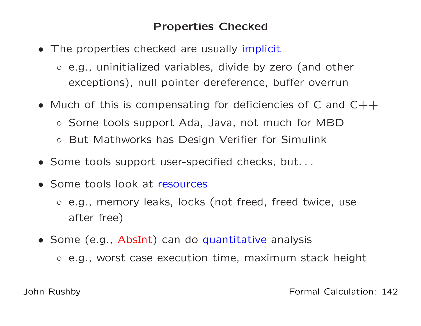### Properties Checked

- The properties checked are usually implicit
	- e.g., uninitialized variables, divide by zero (and other exceptions), null pointer dereference, buffer overrun
- Much of this is compensating for deficiencies of C and  $C++$ 
	- Some tools support Ada, Java, not much for MBD
	- But Mathworks has Design Verifier for Simulink
- Some tools support user-specified checks, but. . .
- Some tools look at resources
	- e.g., memory leaks, locks (not freed, freed twice, useafter free)
- Some (e.g., AbsInt) can do quantitative analysis
	- e.g., worst case execution time, maximum stack height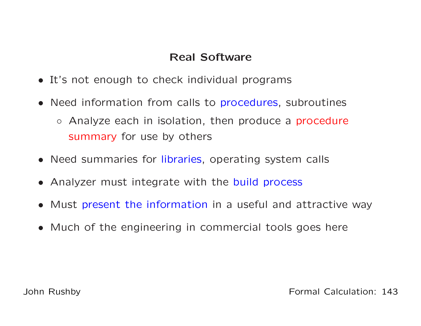### Real Software

- It's not enough to check individual programs
- Need information from calls to procedures, subroutines
	- Analyze each in isolation, then produce <sup>a</sup> procedure summary for use by others
- Need summaries for libraries, operating system calls
- Analyzer must integrate with the build process
- Must present the information in <sup>a</sup> useful and attractive way
- Much of the engineering in commercial tools goes here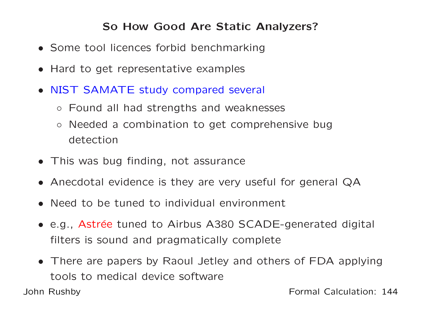# So How Good Are Static Analyzers?

- Some tool licences forbid benchmarking
- Hard to get representative examples
- NIST SAMATE study compared several
	- Found all had strengths and weaknesses
	- $\circ$  Needed <sup>a</sup> combination to get comprehensive bugdetection
- This was bug finding, not assurance
- Anecdotal evidence is they are very useful for general QA
- Need to be tuned to individual environment
- e.g., Astrée tuned to Airbus A380 SCADE-generated digital filters is sound and pragmatically complete
- There are papers by Raoul Jetley and others of FDA applyingtools to medical device software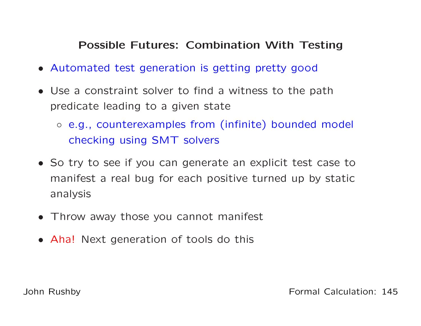## Possible Futures: Combination With Testing

- Automated test generation is getting pretty good
- Use <sup>a</sup> constraint solver to find <sup>a</sup> witness to the pathpredicate leading to <sup>a</sup> given state
	- e.g., counterexamples from (infinite) bounded model checking using SMT solvers
- So try to see if you can generate an explicit test case tomanifest <sup>a</sup> real bug for each positive turned up by staticanalysis
- Throw away those you cannot manifest
- Aha! Next generation of tools do this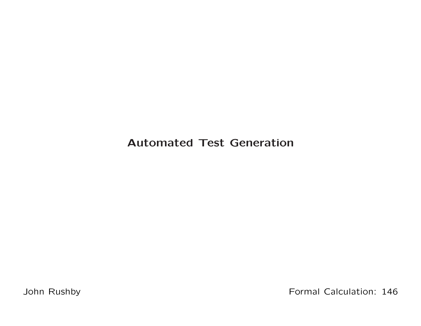## Automated Test Generation

John Rushby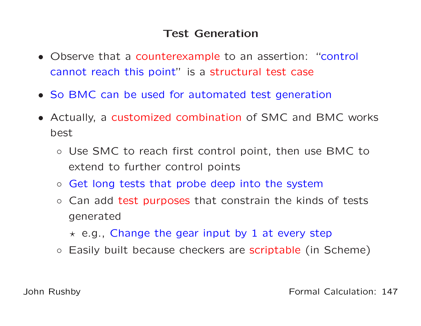## Test Generation

- Observe that <sup>a</sup> counterexample to an assertion: "control cannot reach this point" is <sup>a</sup> structural test case
- So BMC can be used for automated test generation
- Actually, <sup>a</sup> customized combination of SMC and BMC works best
	- Use SMC to reach first control point, then use BMC toextend to further control points
	- Get long tests that probe deep into the system
	- Can add test purposes that constrain the kinds of tests generated
		- $\star$  e.g., Change the gear input by 1 at every step
	- Easily built because checkers are scriptable (in Scheme)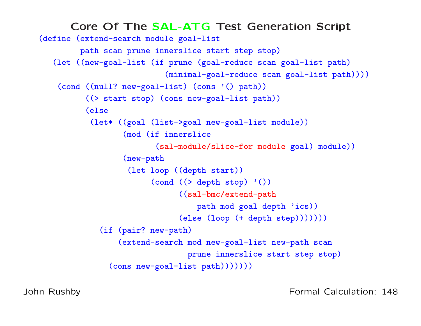```
Core Of The SAL-ATG Test Generation Script<br>Cextend-search module goal-list
(define (extend-search module goal-list
         path scan prune innerslice start step stop)
   (let ((new-goal-list (if prune (goal-reduce scan goal-list path)
                             (minimal-goal-reduce scan goal-list path))))
    (cond ((null? new-goal-list) (cons '() path))
          ((> start stop) (cons new-goal-list path))
          (else(let* ((goal (list->goal new-goal-list module))
                   (mod (if innerslice
                          (sal-module/slice-for module goal) module))
                   (new-path(let loop ((depth start))
                         \text{(cond)} (\text{& depth stop)} \text{'} ()((sal-bmc/extend-pathpath mod goal depth 'ics))
                                \text{(else (loop (+ depth step)))))})(if (pair? new-path)
                  (extend-search mod new-goal-list new-path scan
                                  prune innerslice start step stop)
                (cons new-goal-list path)))))))
```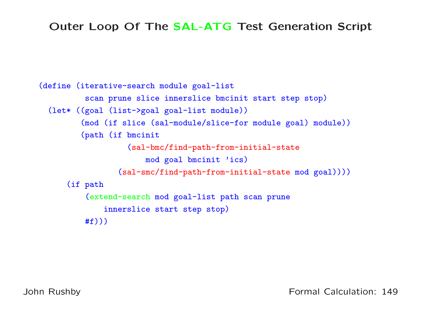# Outer Loop Of The SAL-ATG Test Generation Script

```
(define (iterative-search module goal-list
          scan prune slice innerslice bmcinit start step stop)
 (let* ((goal (list->goal goal-list module))
         (mod (if slice (sal-module/slice-for module goal) module))
         (path (if bmcinit
                   (sal-bmc/find-path-from-initial-statemod goal bmcinit 'ics)
                 (sal-smc/find-path-from-initial-state mod goal))))
      (if path
          (extend-search mod goal-list path scan prune
              innerslice start step stop)
         #f))
```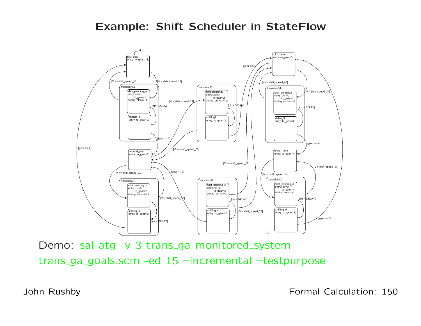#### Example: Shift Scheduler in StateFlow



Demo: sal-atg -v 3 trans\_ga monitored\_system trans ga goals.scm -ed <sup>15</sup> –incremental –testpurpose

John Rushby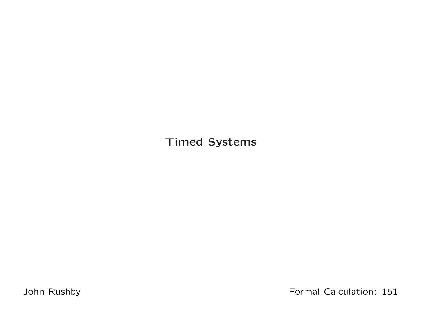Timed Systems

John Rushby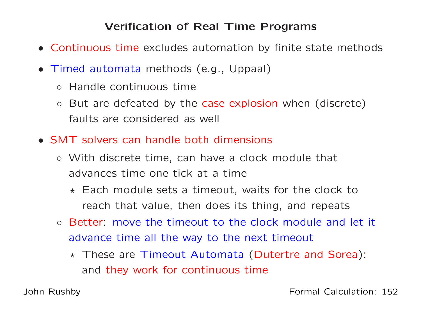## Verification of Real Time Programs

- Continuous time excludes automation by finite state methods
- Timed automata methods (e.g., Uppaal)
	- Handle continuous time
	- But are defeated by the case explosion when (discrete) faults are considered as well
- SMT solvers can handle both dimensions
	- With discrete time, can have <sup>a</sup> clock module that advances time one tick at <sup>a</sup> time
		- $\star$  Each module sets a timeout, waits for the clock to reach that value, then does its thing, and repeats
	- Better: move the timeout to the clock module and let it advance time all the way to the next timeout
		- $\star$  These are Timeout Automata (Dutertre and Sorea): and they work for continuous time

John Rushby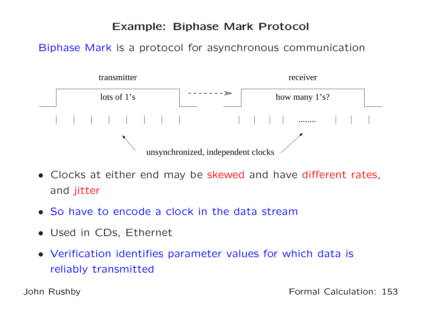#### Example: Biphase Mark Protocol

Biphase Mark is <sup>a</sup> protocol for asynchronous communication



- Clocks at either end may be skewed and have different rates, and jitter
- So have to encode <sup>a</sup> clock in the data stream
- Used in CDs, Ethernet
- Verification identifies parameter values for which data is reliably transmitted

John Rushby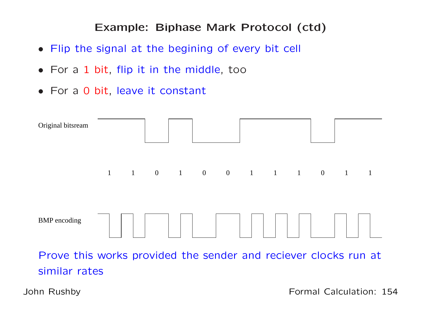#### Example: Biphase Mark Protocol (ctd)

- Flip the signal at the begining of every bit cell
- For <sup>a</sup> <sup>1</sup> bit, flip it in the middle, too
- For <sup>a</sup> <sup>0</sup> bit, leave it constant



John Rushby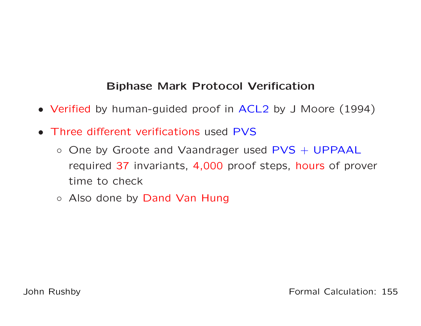## Biphase Mark Protocol Verification

- Verified by human-guided proof in ACL2 by <sup>J</sup> Moore (1994)
- Three different verifications used PVS
	- One by Groote and Vaandrager used PVS + UPPAAL required <sup>37</sup> invariants, 4,000 proof steps, hours of prover time to check
	- Also done by Dand Van Hung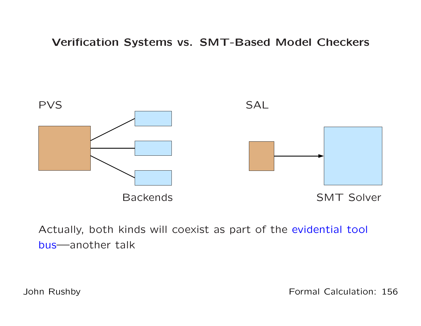Verification Systems vs. SMT-Based Model Checkers



Actually, both kinds will coexist as part of the evidential tool bus—another talk

John Rushby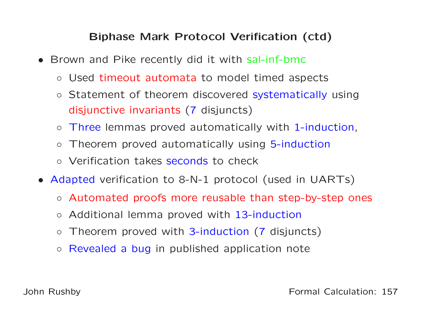## Biphase Mark Protocol Verification (ctd)

- Brown and Pike recently did it with sal-inf-bmc
	- Used timeout automata to model timed aspects
	- Statement of theorem discovered systematically usingdisjunctive invariants(7 disjuncts)
	- $\circ$ o Three lemmas proved automatically with 1-induction,
	- $\circ$ o Theorem proved automatically using 5-induction
	- Verification takes seconds to check
- Adapted verification to 8-N-1 protocol (used in UARTs)
	- Automated proofs more reusable than step-by-step ones
	- Additional lemma proved with 13-induction
	- $\circ$ Theorem proved with 3-induction (7 disjuncts)
	- Revealed <sup>a</sup> bug in published application note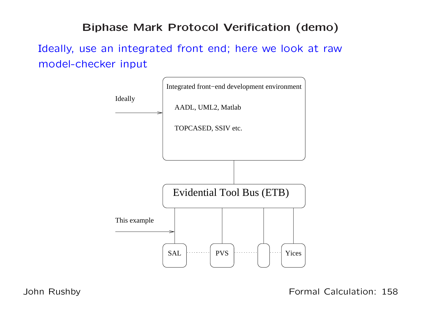### Biphase Mark Protocol Verification (demo)

Ideally, use an integrated front end; here we look at rawmodel-checker input



John Rushby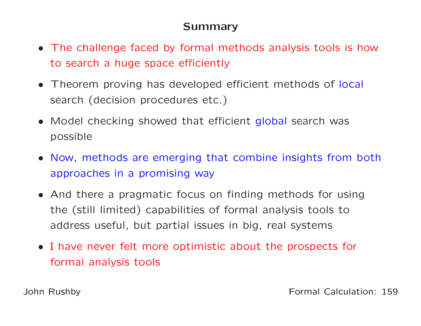## Summary

- The challenge faced by formal methods analysis tools is howto search <sup>a</sup> huge space efficiently
- Theorem proving has developed efficient methods of local search (decision procedures etc.)
- Model checking showed that efficient global search was possible
- Now, methods are emerging that combine insights from bothapproaches in <sup>a</sup> promising way
- And there <sup>a</sup> pragmatic focus on finding methods for usingthe (still limited) capabilities of formal analysis tools toaddress useful, but partial issues in big, real systems
- <sup>I</sup> have never felt more optimistic about the prospects for formal analysis tools

John Rushby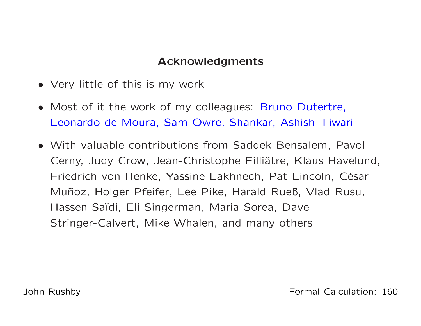## Acknowledgments

- Very little of this is my work
- Most of it the work of my colleagues: Bruno Dutertre, Leonardo de Moura, Sam Owre, Shankar, Ashish Tiwari
- With valuable contributions from Saddek Bensalem, Pavol Cerny, Judy Crow, Jean-Christophe Filliâtre, Klaus Havelund, Friedrich von Henke, Yassine Lakhnech, Pat Lincoln, César Muñoz, Holger Pfeifer, Lee Pike, Harald Rueß, Vlad Rusu, Hassen Saïdi, Eli Singerman, Maria Sorea, Dave Stringer-Calvert, Mike Whalen, and many others